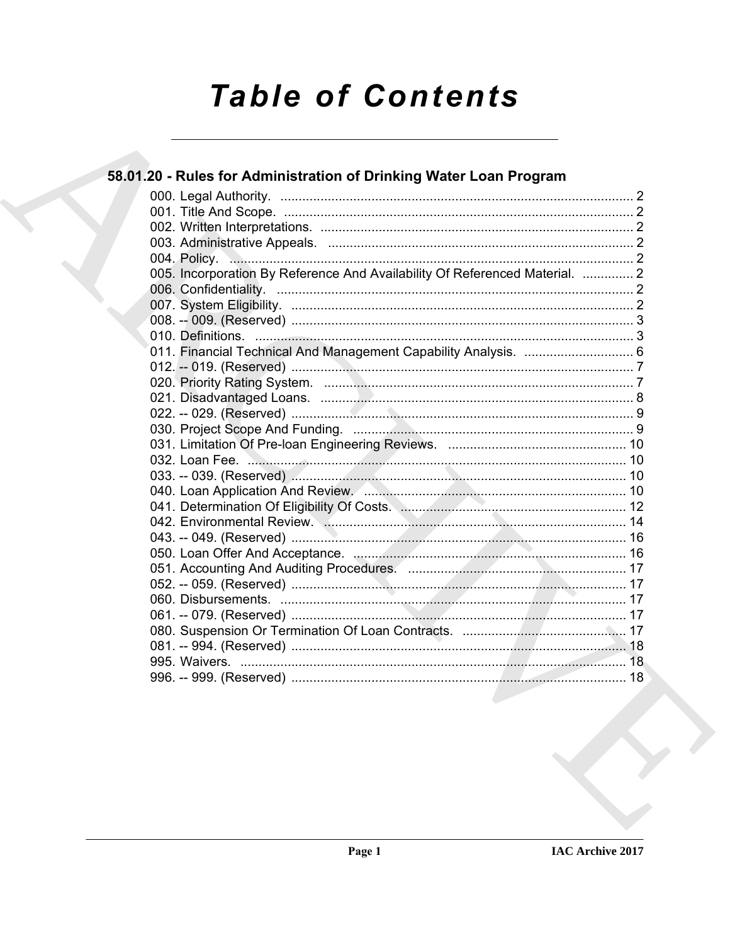# **Table of Contents**

| 58.01.20 - Rules for Administration of Drinking Water Loan Program                                                                                                                                                                   |  |
|--------------------------------------------------------------------------------------------------------------------------------------------------------------------------------------------------------------------------------------|--|
|                                                                                                                                                                                                                                      |  |
|                                                                                                                                                                                                                                      |  |
|                                                                                                                                                                                                                                      |  |
|                                                                                                                                                                                                                                      |  |
|                                                                                                                                                                                                                                      |  |
| 005. Incorporation By Reference And Availability Of Referenced Material.  2                                                                                                                                                          |  |
|                                                                                                                                                                                                                                      |  |
|                                                                                                                                                                                                                                      |  |
|                                                                                                                                                                                                                                      |  |
|                                                                                                                                                                                                                                      |  |
| 011. Financial Technical And Management Capability Analysis.  6                                                                                                                                                                      |  |
|                                                                                                                                                                                                                                      |  |
|                                                                                                                                                                                                                                      |  |
|                                                                                                                                                                                                                                      |  |
|                                                                                                                                                                                                                                      |  |
|                                                                                                                                                                                                                                      |  |
|                                                                                                                                                                                                                                      |  |
|                                                                                                                                                                                                                                      |  |
|                                                                                                                                                                                                                                      |  |
| 040. Loan Application And Review. <b>All Action Active Active Active Active Active Active Active Active Active Active Active Active Active Active Active Active Active Active Active Active Active Active Active Active Active A</b> |  |
|                                                                                                                                                                                                                                      |  |
|                                                                                                                                                                                                                                      |  |
|                                                                                                                                                                                                                                      |  |
|                                                                                                                                                                                                                                      |  |
|                                                                                                                                                                                                                                      |  |
|                                                                                                                                                                                                                                      |  |
|                                                                                                                                                                                                                                      |  |
|                                                                                                                                                                                                                                      |  |
|                                                                                                                                                                                                                                      |  |
|                                                                                                                                                                                                                                      |  |
|                                                                                                                                                                                                                                      |  |
|                                                                                                                                                                                                                                      |  |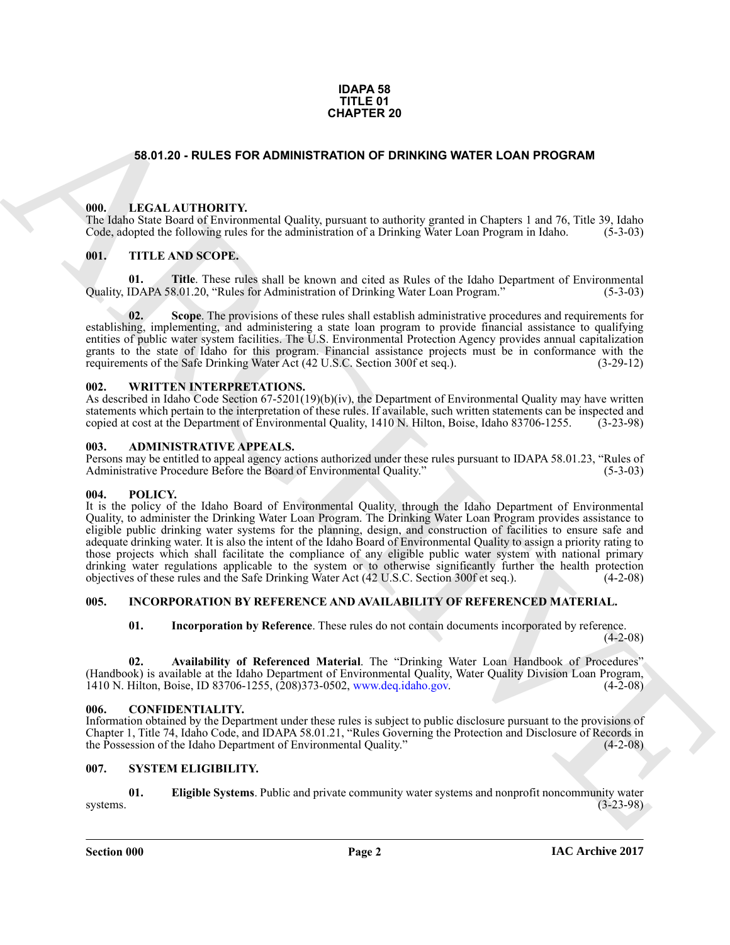#### **IDAPA 58 TITLE 01 CHAPTER 20**

#### <span id="page-1-0"></span>**58.01.20 - RULES FOR ADMINISTRATION OF DRINKING WATER LOAN PROGRAM**

#### <span id="page-1-1"></span>**000. LEGAL AUTHORITY.**

The Idaho State Board of Environmental Quality, pursuant to authority granted in Chapters 1 and 76, Title 39, Idaho Code, adopted the following rules for the administration of a Drinking Water Loan Program in Idaho. (5-3-03)

#### <span id="page-1-2"></span>**001. TITLE AND SCOPE.**

**01. Title**. These rules shall be known and cited as Rules of the Idaho Department of Environmental IDAPA 58.01.20. "Rules for Administration of Drinking Water Loan Program." (5-3-03) Quality, IDAPA 58.01.20, "Rules for Administration of Drinking Water Loan Program."

**02. Scope**. The provisions of these rules shall establish administrative procedures and requirements for establishing, implementing, and administering a state loan program to provide financial assistance to qualifying entities of public water system facilities. The U.S. Environmental Protection Agency provides annual capitalization grants to the state of Idaho for this program. Financial assistance projects must be in conformance with the requirements of the Safe Drinking Water Act (42 U.S.C. Section 300f et seq.). (3-29-12)

#### <span id="page-1-3"></span>**002. WRITTEN INTERPRETATIONS.**

As described in Idaho Code Section  $67-5201(19)(b)(iv)$ , the Department of Environmental Quality may have written statements which pertain to the interpretation of these rules. If available, such written statements can be inspected and copied at cost at the Department of Environmental Quality, 1410 N. Hilton, Boise, Idaho 83706-1255. (3-23-98)

#### <span id="page-1-4"></span>**003. ADMINISTRATIVE APPEALS.**

Persons may be entitled to appeal agency actions authorized under these rules pursuant to IDAPA 58.01.23, "Rules of Administrative Procedure Before the Board of Environmental Quality."

#### <span id="page-1-5"></span>**004. POLICY.**

**SE OLD A - RULE S FOR ADMINISTRATION OF DRINGING WATER LOAN PROGRAM<br>
THE LEGAL ALTHORITY were not all one process to subset the system of all one of the system of the system of the system of the system of the system of t** It is the policy of the Idaho Board of Environmental Quality, through the Idaho Department of Environmental Quality, to administer the Drinking Water Loan Program. The Drinking Water Loan Program provides assistance to eligible public drinking water systems for the planning, design, and construction of facilities to ensure safe and adequate drinking water. It is also the intent of the Idaho Board of Environmental Quality to assign a priority rating to those projects which shall facilitate the compliance of any eligible public water system with national primary drinking water regulations applicable to the system or to otherwise significantly further the health protection objectives of these rules and the Safe Drinking Water Act (42 U.S.C. Section 300f et seq.). (4-2-08)

#### <span id="page-1-6"></span>**005. INCORPORATION BY REFERENCE AND AVAILABILITY OF REFERENCED MATERIAL.**

**01. Incorporation by Reference**. These rules do not contain documents incorporated by reference.

 $(4-2-08)$ 

**02. Availability of Referenced Material**. The "Drinking Water Loan Handbook of Procedures" (Handbook) is available at the Idaho Department of Environmental Quality, Water Quality Division Loan Program, 1410 N. Hilton. Boise, ID 83706-1255. (208) 373-0502, www.deg.idaho.gov. (4-2-08) 1410 N. Hilton, Boise, ID 83706-1255, (208)373-0502, www.deq.idaho.gov.

#### <span id="page-1-9"></span><span id="page-1-7"></span>**006. CONFIDENTIALITY.**

Information obtained by the Department under these rules is subject to public disclosure pursuant to the provisions of Chapter 1, Title 74, Idaho Code, and IDAPA 58.01.21, "Rules Governing the Protection and Disclosure of Records in the Possession of the Idaho Department of Environmental Quality." (4-2-08)

#### <span id="page-1-10"></span><span id="page-1-8"></span>**007. SYSTEM ELIGIBILITY.**

<span id="page-1-11"></span>**01. Eligible Systems**. Public and private community water systems and nonprofit noncommunity water (3-23-98)  $s<sub>3</sub>$ systems. (3-23-98)

**Section 000 Page 2**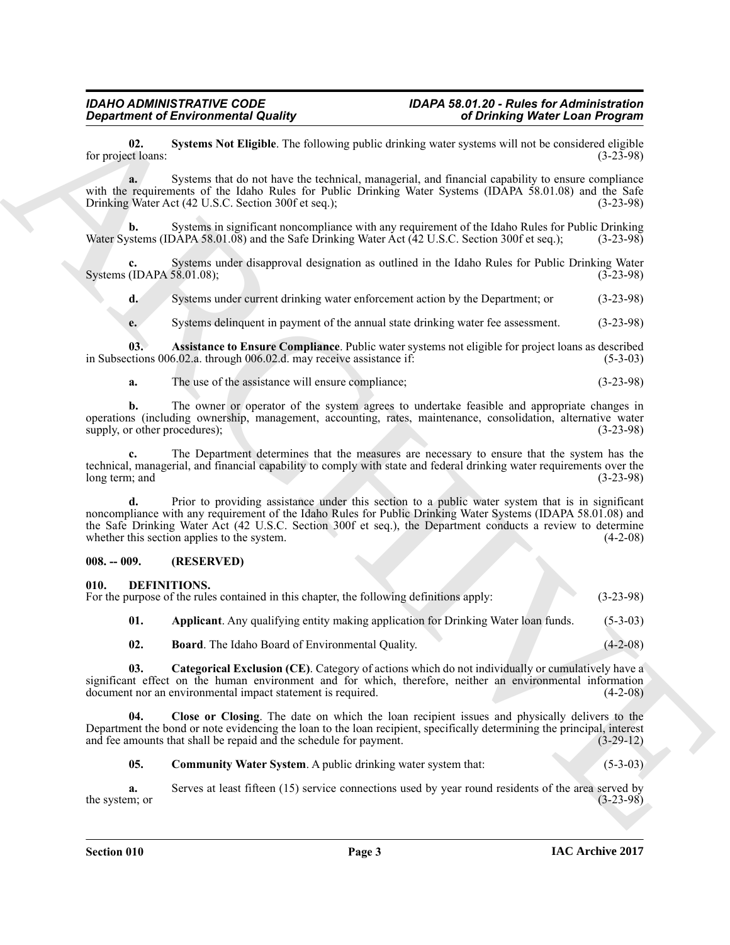<span id="page-2-9"></span>**02.** Systems Not Eligible. The following public drinking water systems will not be considered eligible ct loans: (3-23-98) for project loans:

**a.** Systems that do not have the technical, managerial, and financial capability to ensure compliance with the requirements of the Idaho Rules for Public Drinking Water Systems (IDAPA 58.01.08) and the Safe Drinking Water Act (42 U.S.C. Section 300f et seq.);<br>(3-23-98) Drinking Water Act (42 U.S.C. Section 300f et seq.);

**b.** Systems in significant noncompliance with any requirement of the Idaho Rules for Public Drinking values (IDAPA 58.01.08) and the Safe Drinking Water Act (42 U.S.C. Section 300f et seq.); (3-23-98) Water Systems (IDAPA 58.01.08) and the Safe Drinking Water Act (42 U.S.C. Section 300f et seq.);

Systems under disapproval designation as outlined in the Idaho Rules for Public Drinking Water 58.01.08);<br>
(3-23-98) Systems (IDAPA  $58.01.08$ );

**d.** Systems under current drinking water enforcement action by the Department; or (3-23-98)

<span id="page-2-8"></span>**e.** Systems delinquent in payment of the annual state drinking water fee assessment. (3-23-98)

**03. Assistance to Ensure Compliance**. Public water systems not eligible for project loans as described in Subsections 006.02.a. through 006.02.d. may receive assistance if: (5-3-03)

**a.** The use of the assistance will ensure compliance; (3-23-98)

**b.** The owner or operator of the system agrees to undertake feasible and appropriate changes in operations (including ownership, management, accounting, rates, maintenance, consolidation, alternative water supply, or other procedures); (3-23-98) supply, or other procedures);

**c.** The Department determines that the measures are necessary to ensure that the system has the technical, managerial, and financial capability to comply with state and federal drinking water requirements over the long term; and

*Given the Revision methods bustley*<br>
Let propose be the state of the state of the state of the state of the state of the state of the state of the state of the state of the state of the state of the state of the state **d.** Prior to providing assistance under this section to a public water system that is in significant noncompliance with any requirement of the Idaho Rules for Public Drinking Water Systems (IDAPA 58.01.08) and the Safe Drinking Water Act (42 U.S.C. Section 300f et seq.), the Department conducts a review to determine whether this section applies to the system. (4-2-08)

#### <span id="page-2-0"></span>**008. -- 009. (RESERVED)**

#### <span id="page-2-2"></span><span id="page-2-1"></span>**010. DEFINITIONS.**

| For the purpose of the rules contained in this chapter, the following definitions apply: | $(3-23-98)$ |
|------------------------------------------------------------------------------------------|-------------|
| Applicant. Any qualifying entity making application for Drinking Water loan funds.       | $(5-3-03)$  |

<span id="page-2-5"></span><span id="page-2-4"></span><span id="page-2-3"></span>**02. Board**. The Idaho Board of Environmental Quality. (4-2-08)

**03. Categorical Exclusion (CE)**. Category of actions which do not individually or cumulatively have a significant effect on the human environment and for which, therefore, neither an environmental information document nor an environmental impact statement is required. (4-2-08) document nor an environmental impact statement is required.

**04. Close or Closing**. The date on which the loan recipient issues and physically delivers to the Department the bond or note evidencing the loan to the loan recipient, specifically determining the principal, interest and fee amounts that shall be repaid and the schedule for payment. (3-29-12) and fee amounts that shall be repaid and the schedule for payment.

<span id="page-2-7"></span><span id="page-2-6"></span>**05. Community Water System**. A public drinking water system that: (5-3-03)

**a.** Serves at least fifteen (15) service connections used by year round residents of the area served by m; or the system; or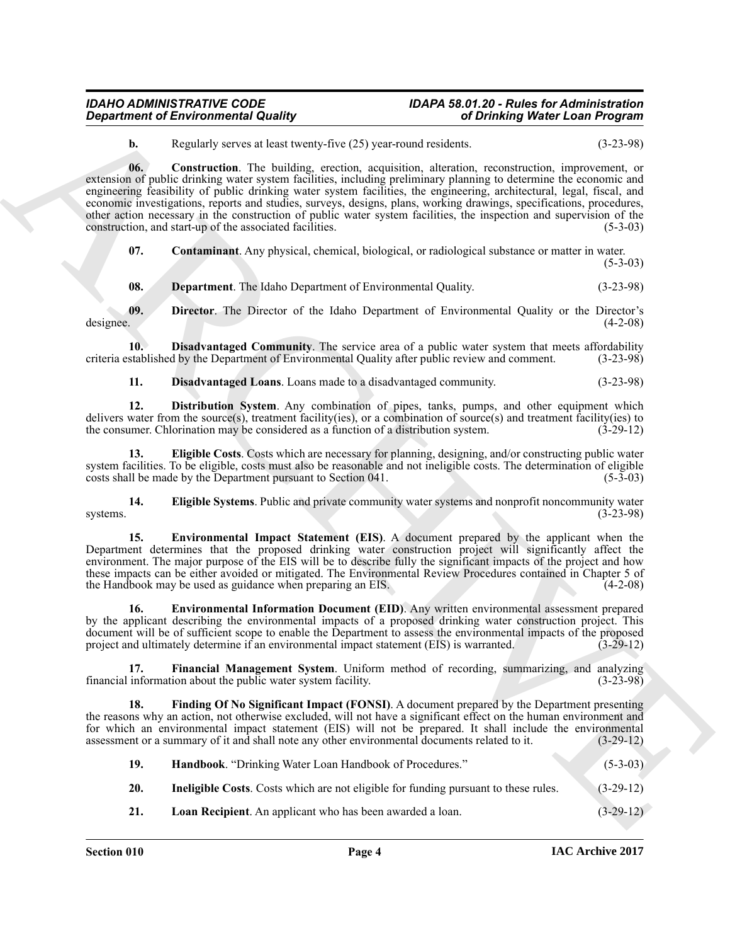### *IDAHO ADMINISTRATIVE CODE IDAPA 58.01.20 - Rules for Administration*

<span id="page-3-0"></span>**b.** Regularly serves at least twenty-five (25) year-round residents. (3-23-98)

*Department of Environmental Quality*<br> **Christian** *Constant of Environmental Research* **Archives** *Christian Constant Constant Constant Constant Constant Constant Constant Constant Constant Constant Constant Constant C* **06. Construction**. The building, erection, acquisition, alteration, reconstruction, improvement, or extension of public drinking water system facilities, including preliminary planning to determine the economic and engineering feasibility of public drinking water system facilities, the engineering, architectural, legal, fiscal, and economic investigations, reports and studies, surveys, designs, plans, working drawings, specifications, procedures, other action necessary in the construction of public water system facilities, the inspection and supervision of the construction, and start-up of the associated facilities. (5-3-03)

<span id="page-3-1"></span>**07. Contaminant**. Any physical, chemical, biological, or radiological substance or matter in water.

 $(5-3-03)$ 

<span id="page-3-3"></span><span id="page-3-2"></span>**08. Department**. The Idaho Department of Environmental Quality. (3-23-98)

**09.** Director. The Director of the Idaho Department of Environmental Quality or the Director's designee. (4-2-08) designee. (4-2-08)

**10. Disadvantaged Community**. The service area of a public water system that meets affordability criteria established by the Department of Environmental Quality after public review and comment. (3-23-98)

<span id="page-3-7"></span><span id="page-3-6"></span><span id="page-3-5"></span><span id="page-3-4"></span>**11. Disadvantaged Loans**. Loans made to a disadvantaged community. (3-23-98)

**12. Distribution System**. Any combination of pipes, tanks, pumps, and other equipment which delivers water from the source(s), treatment facility(ies), or a combination of source(s) and treatment facility(ies) to the consumer. Chlorination may be considered as a function of a distribution system. (3-29-12)

**13. Eligible Costs**. Costs which are necessary for planning, designing, and/or constructing public water system facilities. To be eligible, costs must also be reasonable and not ineligible costs. The determination of eligible costs shall be made by the Department pursuant to Section 041. costs shall be made by the Department pursuant to Section 041.

<span id="page-3-8"></span>**14. Eligible Systems**. Public and private community water systems and nonprofit noncommunity water systems.  $(3-23-98)$ 

<span id="page-3-9"></span>**15. Environmental Impact Statement (EIS)**. A document prepared by the applicant when the Department determines that the proposed drinking water construction project will significantly affect the environment. The major purpose of the EIS will be to describe fully the significant impacts of the project and how these impacts can be either avoided or mitigated. The Environmental Review Procedures contained in Chapter 5 of the Handbook may be used as guidance when preparing an EIS. (4-2-08) the Handbook may be used as guidance when preparing an EIS.

<span id="page-3-10"></span>**16. Environmental Information Document (EID)**. Any written environmental assessment prepared by the applicant describing the environmental impacts of a proposed drinking water construction project. This document will be of sufficient scope to enable the Department to assess the environmental impacts of the proposed project and ultimately determine if an environmental impact statement (EIS) is warranted. (3-29-12)

<span id="page-3-11"></span>**17. Financial Management System**. Uniform method of recording, summarizing, and analyzing information about the public water system facility. (3-23-98) financial information about the public water system facility.

**18. Finding Of No Significant Impact (FONSI)**. A document prepared by the Department presenting the reasons why an action, not otherwise excluded, will not have a significant effect on the human environment and for which an environmental impact statement (EIS) will not be prepared. It shall include the environmental assessment or a summary of it and shall note any other environmental documents related to it. (3-29-12) assessment or a summary of it and shall note any other environmental documents related to it.

<span id="page-3-15"></span><span id="page-3-14"></span><span id="page-3-13"></span><span id="page-3-12"></span>

| -19. | <b>Handbook.</b> "Drinking Water Loan Handbook of Procedures."                             | $(5-3-03)$  |
|------|--------------------------------------------------------------------------------------------|-------------|
| 20.  | <b>Ineligible Costs.</b> Costs which are not eligible for funding pursuant to these rules. | $(3-29-12)$ |
| 21.  | <b>Loan Recipient.</b> An applicant who has been awarded a loan.                           | $(3-29-12)$ |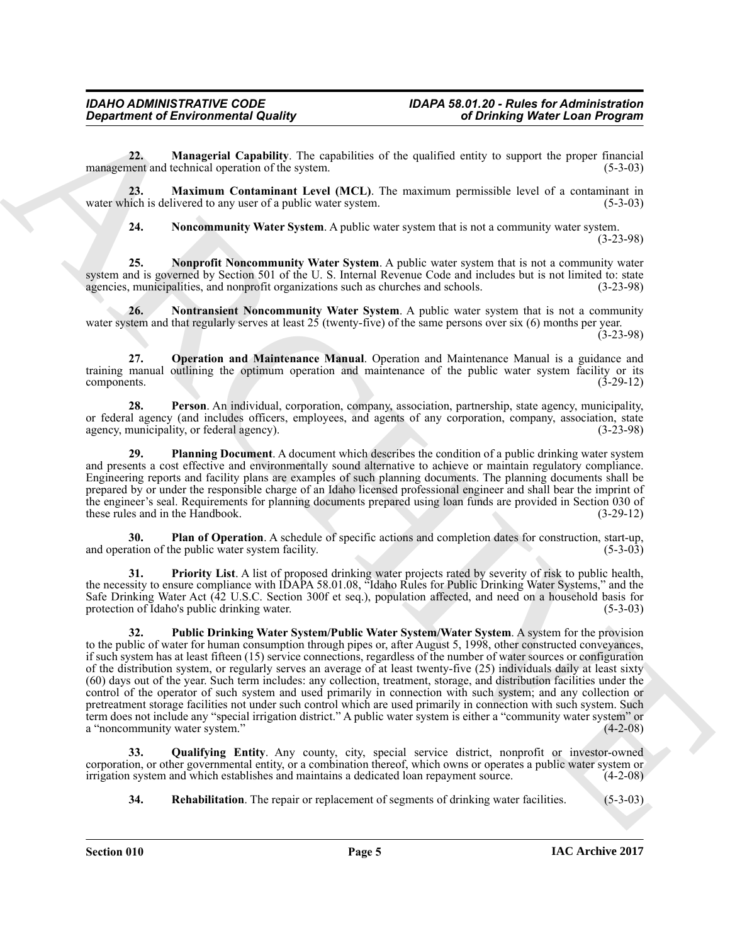<span id="page-4-0"></span>**22. Managerial Capability**. The capabilities of the qualified entity to support the proper financial nent and technical operation of the system. (5-3-03) management and technical operation of the system.

**23. Maximum Contaminant Level (MCL)**. The maximum permissible level of a contaminant in water which is delivered to any user of a public water system. (5-3-03)

<span id="page-4-4"></span><span id="page-4-3"></span><span id="page-4-2"></span><span id="page-4-1"></span>**24.** Noncommunity Water System. A public water system that is not a community water system.

(3-23-98)

**25. Nonprofit Noncommunity Water System**. A public water system that is not a community water system and is governed by Section 501 of the U. S. Internal Revenue Code and includes but is not limited to: state agencies, municipalities, and nonprofit organizations such as churches and schools. (3-23-98) agencies, municipalities, and nonprofit organizations such as churches and schools.

**26. Nontransient Noncommunity Water System**. A public water system that is not a community water system and that regularly serves at least 25 (twenty-five) of the same persons over six (6) months per year. (3-23-98)

<span id="page-4-5"></span>**27. Operation and Maintenance Manual**. Operation and Maintenance Manual is a guidance and training manual outlining the optimum operation and maintenance of the public water system facility or its components. (3-29-12) components. (3-29-12)

<span id="page-4-6"></span>**28. Person**. An individual, corporation, company, association, partnership, state agency, municipality, or federal agency (and includes officers, employees, and agents of any corporation, company, association, state agency, municipality, or federal agency). (3-23-98)

<span id="page-4-8"></span>**29. Planning Document**. A document which describes the condition of a public drinking water system and presents a cost effective and environmentally sound alternative to achieve or maintain regulatory compliance. Engineering reports and facility plans are examples of such planning documents. The planning documents shall be prepared by or under the responsible charge of an Idaho licensed professional engineer and shall bear the imprint of the engineer's seal. Requirements for planning documents prepared using loan funds are provided in Section 030 of these rules and in the Handbook. (3-29-12) these rules and in the Handbook.

<span id="page-4-7"></span>**30. Plan of Operation**. A schedule of specific actions and completion dates for construction, start-up, (5-3-03) and operation of the public water system facility.

<span id="page-4-10"></span><span id="page-4-9"></span>**31. Priority List**. A list of proposed drinking water projects rated by severity of risk to public health, the necessity to ensure compliance with IDAPA 58.01.08, "Idaho Rules for Public Drinking Water Systems," and the Safe Drinking Water Act ( $42$  U.S.C. Section 300f et seq.), population affected, and need on a household basis for protection of Idaho's public drinking water. (5-3-03) protection of Idaho's public drinking water.

Generation of Environmental Quality<br>
22. Managrafia Capability Characteristics of the qualitation of the sample, the paper is proper interest.<br>
23. Managrafia Capability Characteristics of the sample interest. The maximum **32. Public Drinking Water System/Public Water System/Water System**. A system for the provision to the public of water for human consumption through pipes or, after August 5, 1998, other constructed conveyances, if such system has at least fifteen (15) service connections, regardless of the number of water sources or configuration of the distribution system, or regularly serves an average of at least twenty-five (25) individuals daily at least sixty (60) days out of the year. Such term includes: any collection, treatment, storage, and distribution facilities under the control of the operator of such system and used primarily in connection with such system; and any collection or pretreatment storage facilities not under such control which are used primarily in connection with such system. Such term does not include any "special irrigation district." A public water system is either a "community water system" or a "noncommunity water system."

**33. Qualifying Entity**. Any county, city, special service district, nonprofit or investor-owned corporation, or other governmental entity, or a combination thereof, which owns or operates a public water system or irrigation system and which establishes and maintains a dedicated loan repayment source. (4-2-08)

<span id="page-4-12"></span><span id="page-4-11"></span>**34. Rehabilitation**. The repair or replacement of segments of drinking water facilities. (5-3-03)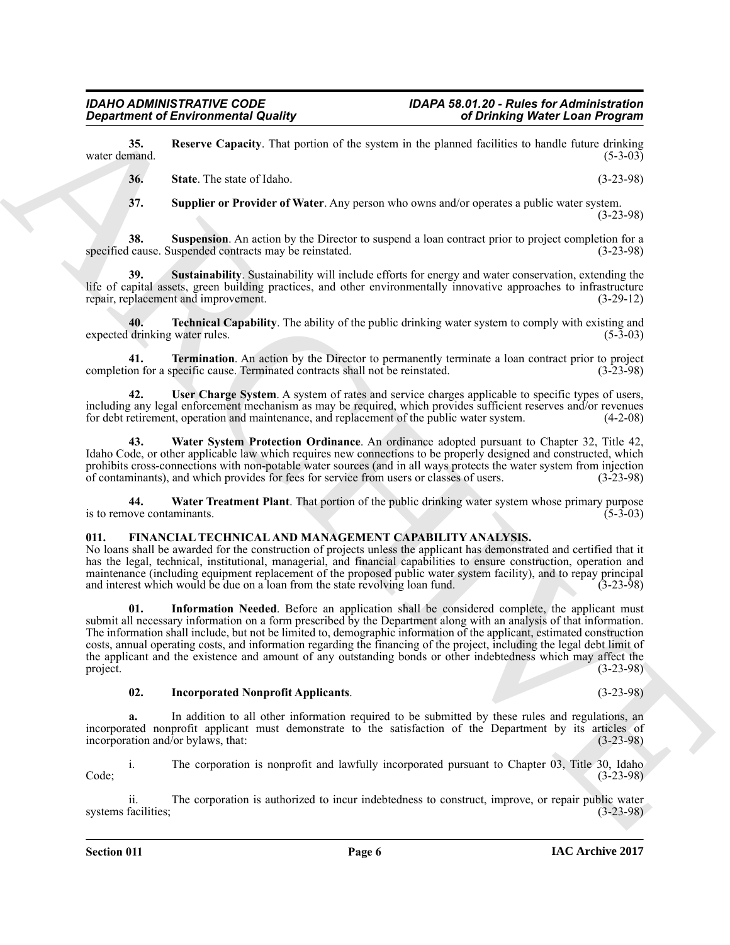**35.** Reserve Capacity. That portion of the system in the planned facilities to handle future drinking water demand. (5-3-03) water demand. (5-3-03)

<span id="page-5-3"></span><span id="page-5-2"></span><span id="page-5-1"></span>**36. State**. The state of Idaho. (3-23-98)

<span id="page-5-5"></span><span id="page-5-4"></span>**37. Supplier or Provider of Water**. Any person who owns and/or operates a public water system. (3-23-98)

**38. Suspension**. An action by the Director to suspend a loan contract prior to project completion for a specified cause. Suspended contracts may be reinstated. (3-23-98)

**39. Sustainability**. Sustainability will include efforts for energy and water conservation, extending the life of capital assets, green building practices, and other environmentally innovative approaches to infrastructure repair, replacement and improvement. (3-29-12) repair, replacement and improvement.

<span id="page-5-6"></span>**40. Technical Capability**. The ability of the public drinking water system to comply with existing and drinking water rules. (5-3-03) expected drinking water rules.

<span id="page-5-7"></span>**41. Termination**. An action by the Director to permanently terminate a loan contract prior to project on for a specific cause. Terminated contracts shall not be reinstated. (3-23-98) completion for a specific cause. Terminated contracts shall not be reinstated.

<span id="page-5-8"></span>**42. User Charge System**. A system of rates and service charges applicable to specific types of users, including any legal enforcement mechanism as may be required, which provides sufficient reserves and/or revenues for debt retirement, operation and maintenance, and replacement of the public water system. (4-2-08)

<span id="page-5-9"></span>**43. Water System Protection Ordinance**. An ordinance adopted pursuant to Chapter 32, Title 42, Idaho Code, or other applicable law which requires new connections to be properly designed and constructed, which prohibits cross-connections with non-potable water sources (and in all ways protects the water system from injection of contaminants), and which provides for fees for service from users or classes of users. (3-23-98) of contaminants), and which provides for fees for service from users or classes of users.

<span id="page-5-10"></span>**44. Water Treatment Plant**. That portion of the public drinking water system whose primary purpose is to remove contaminants.

#### <span id="page-5-11"></span><span id="page-5-0"></span>**011. FINANCIAL TECHNICAL AND MANAGEMENT CAPABILITY ANALYSIS.**

<span id="page-5-13"></span>No loans shall be awarded for the construction of projects unless the applicant has demonstrated and certified that it has the legal, technical, institutional, managerial, and financial capabilities to ensure construction, operation and maintenance (including equipment replacement of the proposed public water system facility), and to repay principal and interest which would be due on a loan from the state revolving loan fund. (3-23-98) and interest which would be due on a loan from the state revolving loan fund.

*Considered of Environmental Quality*<br> **Considered Christian Counterparts and the system is the system of the system of the system of the system of the system of the system of the system of the system of the system of t 01. Information Needed**. Before an application shall be considered complete, the applicant must submit all necessary information on a form prescribed by the Department along with an analysis of that information. The information shall include, but not be limited to, demographic information of the applicant, estimated construction costs, annual operating costs, and information regarding the financing of the project, including the legal debt limit of the applicant and the existence and amount of any outstanding bonds or other indebtedness which may affect the project. (3-23-98) project. (3-23-98)

#### <span id="page-5-12"></span>**02. Incorporated Nonprofit Applicants**. (3-23-98)

**a.** In addition to all other information required to be submitted by these rules and regulations, an incorporated nonprofit applicant must demonstrate to the satisfaction of the Department by its articles of incorporation and/or bylaws, that: (3-23-98) incorporation and/or bylaws, that:

i. The corporation is nonprofit and lawfully incorporated pursuant to Chapter 03, Title 30, Idaho Code; (3-23-98)

ii. The corporation is authorized to incur indebtedness to construct, improve, or repair public water facilities;<br>(3-23-98) systems facilities;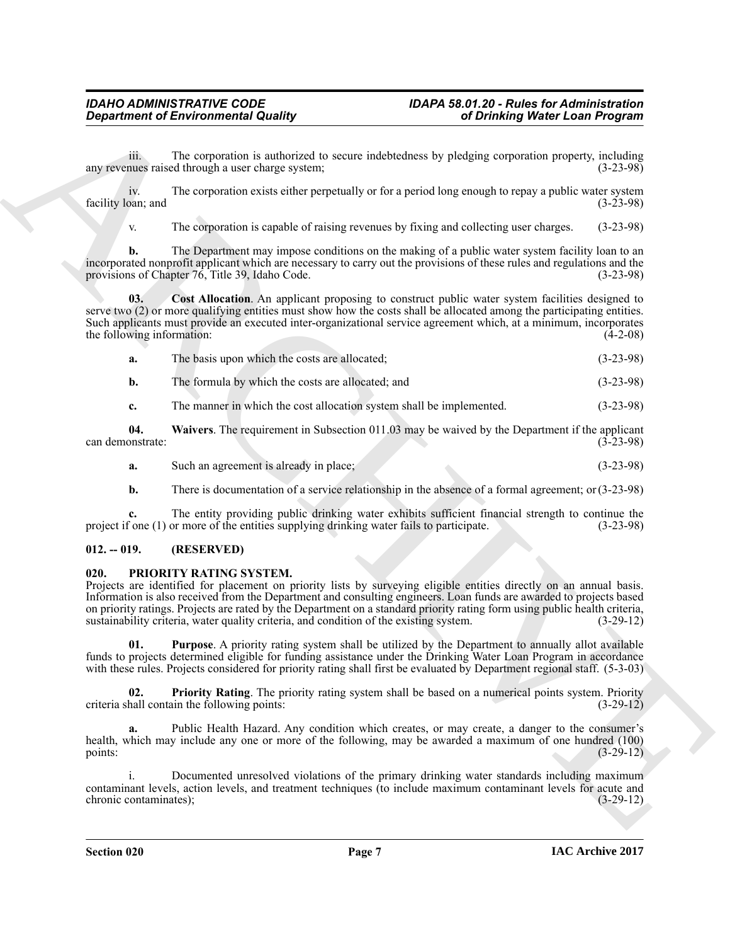iii. The corporation is authorized to secure indebtedness by pledging corporation property, including any revenues raised through a user charge system;

iv. The corporation exists either perpetually or for a period long enough to repay a public water system<br>can; and (3-23-98) facility loan; and

<span id="page-6-2"></span>v. The corporation is capable of raising revenues by fixing and collecting user charges. (3-23-98)

**b.** The Department may impose conditions on the making of a public water system facility loan to an incorporated nonprofit applicant which are necessary to carry out the provisions of these rules and regulations and the provisions of Chapter 76, Title 39, Idaho Code. (3-23-98) provisions of Chapter  $76$ , Title 39, Idaho Code.

*Given the resonance in the latenties* of the subset of the subset of the subset of the subset of the subset of the subset of the subset of the subset of the subset of the subset of the subset of the subset of the subse **Cost Allocation**. An applicant proposing to construct public water system facilities designed to serve two (2) or more qualifying entities must show how the costs shall be allocated among the participating entities. Such applicants must provide an executed inter-organizational service agreement which, at a minimum, incorporates the following information: (4-2-08) the following information:

- **a.** The basis upon which the costs are allocated; (3-23-98)
- **b.** The formula by which the costs are allocated; and (3-23-98)
- <span id="page-6-3"></span>**c.** The manner in which the cost allocation system shall be implemented. (3-23-98)

**04.** Waivers. The requirement in Subsection 011.03 may be waived by the Department if the applicant onstrate: (3-23-98) can demonstrate:

- **a.** Such an agreement is already in place; (3-23-98)
- **b.** There is documentation of a service relationship in the absence of a formal agreement; or  $(3-23-98)$

**c.** The entity providing public drinking water exhibits sufficient financial strength to continue the fone (1) or more of the entities supplying drinking water fails to participate. (3-23-98) project if one (1) or more of the entities supplying drinking water fails to participate.

#### <span id="page-6-0"></span>**012. -- 019. (RESERVED)**

#### <span id="page-6-4"></span><span id="page-6-1"></span>**020. PRIORITY RATING SYSTEM.**

Projects are identified for placement on priority lists by surveying eligible entities directly on an annual basis. Information is also received from the Department and consulting engineers. Loan funds are awarded to projects based on priority ratings. Projects are rated by the Department on a standard priority rating form using public health criteria, sustainability criteria, water quality criteria, and condition of the existing system.

<span id="page-6-6"></span>**01. Purpose**. A priority rating system shall be utilized by the Department to annually allot available funds to projects determined eligible for funding assistance under the Drinking Water Loan Program in accordance with these rules. Projects considered for priority rating shall first be evaluated by Department regional staff. (5-3-03)

<span id="page-6-5"></span>**02. Priority Rating**. The priority rating system shall be based on a numerical points system. Priority criteria shall contain the following points: (3-29-12)

Public Health Hazard. Any condition which creates, or may create, a danger to the consumer's health, which may include any one or more of the following, may be awarded a maximum of one hundred (100) points: (3-29-12)

i. Documented unresolved violations of the primary drinking water standards including maximum contaminant levels, action levels, and treatment techniques (to include maximum contaminant levels for acute and chronic contaminates);<br>(3-29-12) chronic contaminates);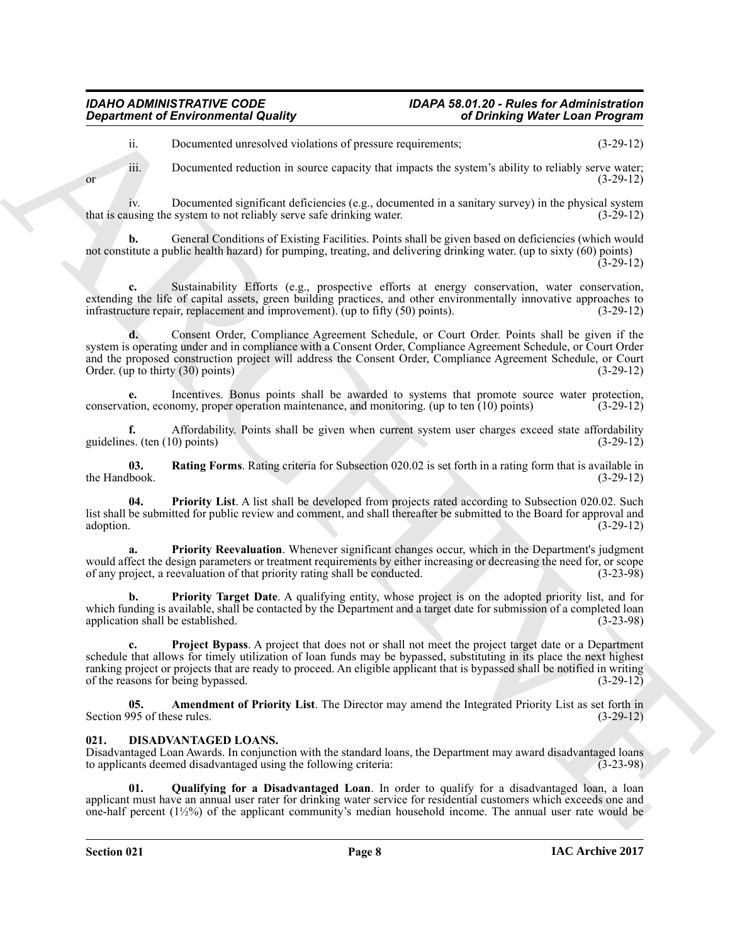## *IDAHO ADMINISTRATIVE CODE IDAPA 58.01.20 - Rules for Administration*

ii. Documented unresolved violations of pressure requirements; (3-29-12)

iii. Documented reduction in source capacity that impacts the system's ability to reliably serve water; or  $(3-29-12)$ 

iv. Documented significant deficiencies (e.g., documented in a sanitary survey) in the physical system that is causing the system to not reliably serve safe drinking water.

**b.** General Conditions of Existing Facilities. Points shall be given based on deficiencies (which would not constitute a public health hazard) for pumping, treating, and delivering drinking water. (up to sixty (60) points) (3-29-12)

**c.** Sustainability Efforts (e.g., prospective efforts at energy conservation, water conservation, extending the life of capital assets, green building practices, and other environmentally innovative approaches to infrastructure repair, replacement and improvement). (up to fifty (50) points). (3-29-12)

*Given the Revision metric existence* of studies of positive and control of the studies of the studies of the studies of the studies of the studies of the studies of the studies of the studies of the studies of the stud **d.** Consent Order, Compliance Agreement Schedule, or Court Order. Points shall be given if the system is operating under and in compliance with a Consent Order, Compliance Agreement Schedule, or Court Order and the proposed construction project will address the Consent Order, Compliance Agreement Schedule, or Court Order. (up to thirty (30) points) Order. (up to thirty  $(30)$  points)

**e.** Incentives. Bonus points shall be awarded to systems that promote source water protection, economy, proper operation maintenance, and monitoring. (up to ten (10) points) (3-29-12) conservation, economy, proper operation maintenance, and monitoring. (up to ten  $(10)$  points)

**f.** Affordability. Points shall be given when current system user charges exceed state affordability es. (ten (10) points) (3-29-12) guidelines. (ten  $(10)$  points)

<span id="page-7-8"></span>**03.** Rating Forms. Rating criteria for Subsection 020.02 is set forth in a rating form that is available in book.  $(3-29-12)$ the Handbook.

<span id="page-7-4"></span>**04. Priority List**. A list shall be developed from projects rated according to Subsection 020.02. Such list shall be submitted for public review and comment, and shall thereafter be submitted to the Board for approval and adoption. (3-29-12) adoption. (3-29-12)

<span id="page-7-5"></span>**a. Priority Reevaluation**. Whenever significant changes occur, which in the Department's judgment would affect the design parameters or treatment requirements by either increasing or decreasing the need for, or scope<br>of any project, a reevaluation of that priority rating shall be conducted. of any project, a reevaluation of that priority rating shall be conducted.

<span id="page-7-6"></span>**b. Priority Target Date**. A qualifying entity, whose project is on the adopted priority list, and for which funding is available, shall be contacted by the Department and a target date for submission of a completed loan application shall be established. application shall be established.

<span id="page-7-7"></span>**c. Project Bypass**. A project that does not or shall not meet the project target date or a Department schedule that allows for timely utilization of loan funds may be bypassed, substituting in its place the next highest ranking project or projects that are ready to proceed. An eligible applicant that is bypassed shall be notified in writing of the reasons for being bypassed. (3-29-12) of the reasons for being bypassed.

<span id="page-7-3"></span>**05. Amendment of Priority List**. The Director may amend the Integrated Priority List as set forth in Section 995 of these rules. (3-29-12)

#### <span id="page-7-1"></span><span id="page-7-0"></span>**021. DISADVANTAGED LOANS.**

Disadvantaged Loan Awards. In conjunction with the standard loans, the Department may award disadvantaged loans to applicants deemed disadvantaged using the following criteria: (3-23-98) to applicants deemed disadvantaged using the following criteria:

<span id="page-7-2"></span>**01. Qualifying for a Disadvantaged Loan**. In order to qualify for a disadvantaged loan, a loan applicant must have an annual user rater for drinking water service for residential customers which exceeds one and one-half percent (1½%) of the applicant community's median household income. The annual user rate would be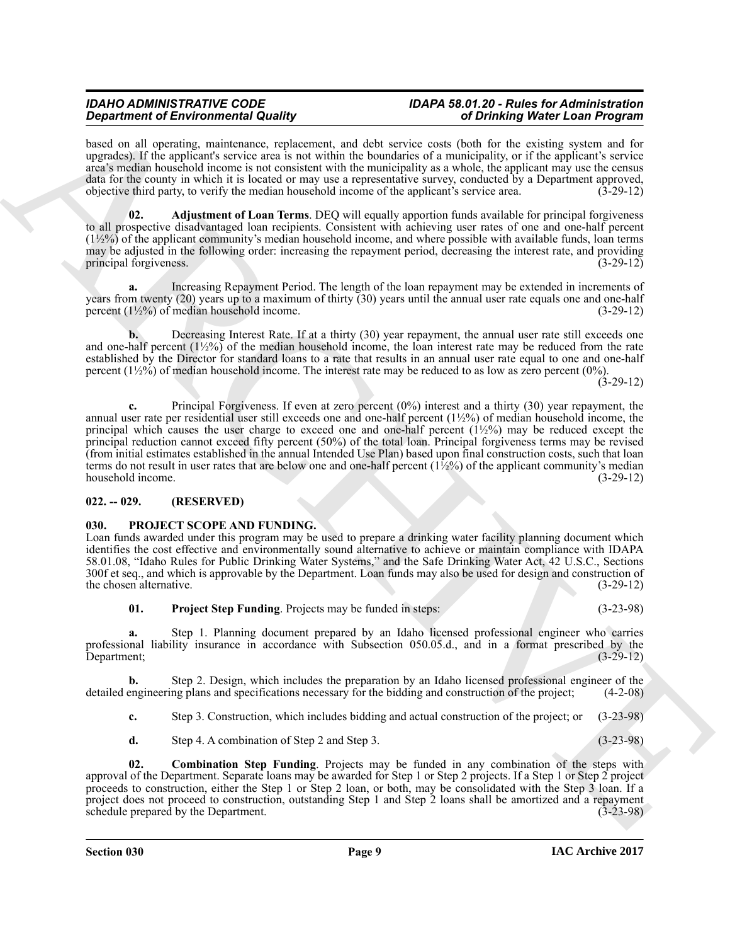## *IDAHO ADMINISTRATIVE CODE IDAPA 58.01.20 - Rules for Administration*

based on all operating, maintenance, replacement, and debt service costs (both for the existing system and for upgrades). If the applicant's service area is not within the boundaries of a municipality, or if the applicant's service area's median household income is not consistent with the municipality as a whole, the applicant may use the census data for the county in which it is located or may use a representative survey, conducted by a Department approved, objective third party, to verify the median household income of the applicant's service area. (3-29-12)

<span id="page-8-2"></span>**02. Adjustment of Loan Terms**. DEQ will equally apportion funds available for principal forgiveness to all prospective disadvantaged loan recipients. Consistent with achieving user rates of one and one-half percent  $(1\frac{1}{2}\%)$  of the applicant community's median household income, and where possible with available funds, loan terms may be adjusted in the following order: increasing the repayment period, decreasing the interest rate, and providing principal forgiveness. (3-29-12) principal forgiveness.

<span id="page-8-4"></span>**a.** Increasing Repayment Period. The length of the loan repayment may be extended in increments of years from twenty (20) years up to a maximum of thirty (30) years until the annual user rate equals one and one-half percent  $(1\frac{1}{2}\%)$  of median household income. (3-29-12)

<span id="page-8-5"></span><span id="page-8-3"></span>**b.** Decreasing Interest Rate. If at a thirty (30) year repayment, the annual user rate still exceeds one and one-half percent  $(1\frac{1}{2}\%)$  of the median household income, the loan interest rate may be reduced from the rate established by the Director for standard loans to a rate that results in an annual user rate equal to one and one-half percent  $(1\frac{1}{2}\frac{9}{6})$  of median household income. The interest rate may be reduced to as low as zero percent  $(0\%)$ .

(3-29-12)

**Signal room of Energy in Albumin and the United States and the system of Distribution Fermion and the system of the system of the system of the system of the system of the system of the system of the system of the system c.** Principal Forgiveness. If even at zero percent (0%) interest and a thirty (30) year repayment, the annual user rate per residential user still exceeds one and one-half percent (1½%) of median household income, the principal which causes the user charge to exceed one and one-half percent  $(1/2%)$  may be reduced except the principal reduction cannot exceed fifty percent (50%) of the total loan. Principal forgiveness terms may be revised (from initial estimates established in the annual Intended Use Plan) based upon final construction costs, such that loan terms do not result in user rates that are below one and one-half percent  $(1\frac{1}{2}\%)$  of the applicant community's median household income.  $(3-29-12)$ household income.

#### <span id="page-8-0"></span>**022. -- 029. (RESERVED)**

#### <span id="page-8-6"></span><span id="page-8-1"></span>**030. PROJECT SCOPE AND FUNDING.**

Loan funds awarded under this program may be used to prepare a drinking water facility planning document which identifies the cost effective and environmentally sound alternative to achieve or maintain compliance with IDAPA 58.01.08, "Idaho Rules for Public Drinking Water Systems," and the Safe Drinking Water Act, 42 U.S.C., Sections 300f et seq., and which is approvable by the Department. Loan funds may also be used for design and construction of the chosen alternative. (3-29-12) the chosen alternative.

<span id="page-8-8"></span>**01. Project Step Funding**. Projects may be funded in steps: (3-23-98)

**a.** Step 1. Planning document prepared by an Idaho licensed professional engineer who carries professional liability insurance in accordance with Subsection 050.05.d., and in a format prescribed by the Department; (3-29-12) Department; (3-29-12)

**b.** Step 2. Design, which includes the preparation by an Idaho licensed professional engineer of the engineering plans and specifications necessary for the bidding and construction of the project; (4-2-08) detailed engineering plans and specifications necessary for the bidding and construction of the project;

**c.** Step 3. Construction, which includes bidding and actual construction of the project; or (3-23-98)

<span id="page-8-7"></span>**d.** Step 4. A combination of Step 2 and Step 3. (3-23-98)

**02. Combination Step Funding**. Projects may be funded in any combination of the steps with approval of the Department. Separate loans may be awarded for Step 1 or Step 2 projects. If a Step 1 or Step 2 project proceeds to construction, either the Step 1 or Step 2 loan, or both, may be consolidated with the Step 3 loan. If a project does not proceed to construction, outstanding Step 1 and Step 2 loans shall be amortized and a repayment schedule prepared by the Department. (3-23-98)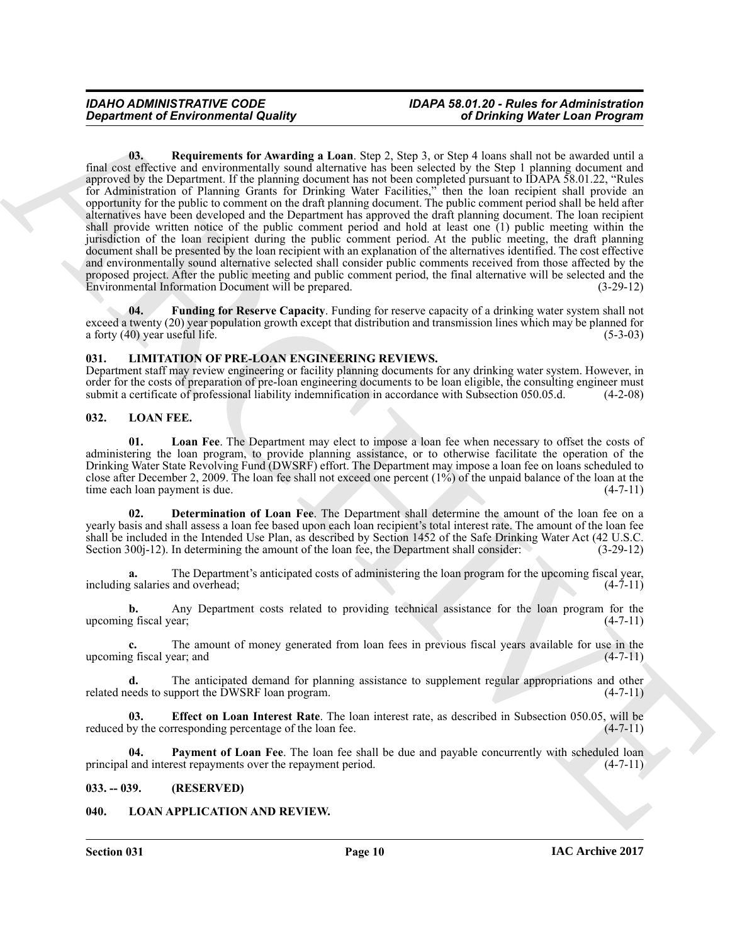<span id="page-9-12"></span>*Great free to the system to the boundary second Equipment* **of** *Greatering* **and** *Contention* **and** *Contention* **and** *Contention* **and** *Contention* **and** *Contention* **and** *Contention* **and** *Contention* **and** *Contention* **and** *Con* **03. Requirements for Awarding a Loan**. Step 2, Step 3, or Step 4 loans shall not be awarded until a final cost effective and environmentally sound alternative has been selected by the Step 1 planning document and approved by the Department. If the planning document has not been completed pursuant to IDAPA 58.01.22, "Rules for Administration of Planning Grants for Drinking Water Facilities," then the loan recipient shall provide an opportunity for the public to comment on the draft planning document. The public comment period shall be held after alternatives have been developed and the Department has approved the draft planning document. The loan recipient shall provide written notice of the public comment period and hold at least one (1) public meeting within the jurisdiction of the loan recipient during the public comment period. At the public meeting, the draft planning document shall be presented by the loan recipient with an explanation of the alternatives identified. The cost effective and environmentally sound alternative selected shall consider public comments received from those affected by the proposed project. After the public meeting and public comment period, the final alternative will be selected and the Environmental Information Document will be prepared. (3-29-12) Environmental Information Document will be prepared.

<span id="page-9-11"></span>**04. Funding for Reserve Capacity**. Funding for reserve capacity of a drinking water system shall not exceed a twenty (20) year population growth except that distribution and transmission lines which may be planned for<br>a forty (40) year useful life. (5-3-03) a forty  $(40)$  year useful life.

#### <span id="page-9-4"></span><span id="page-9-0"></span>**031. LIMITATION OF PRE-LOAN ENGINEERING REVIEWS.**

Department staff may review engineering or facility planning documents for any drinking water system. However, in order for the costs of preparation of pre-loan engineering documents to be loan eligible, the consulting engineer must<br>submit a certificate of professional liability indemnification in accordance with Subsection 050.05.d. submit a certificate of professional liability indemnification in accordance with Subsection 050.05.d.

#### <span id="page-9-6"></span><span id="page-9-1"></span>**032. LOAN FEE.**

<span id="page-9-9"></span>**01. Loan Fee**. The Department may elect to impose a loan fee when necessary to offset the costs of administering the loan program, to provide planning assistance, or to otherwise facilitate the operation of the Drinking Water State Revolving Fund (DWSRF) effort. The Department may impose a loan fee on loans scheduled to close after December 2, 2009. The loan fee shall not exceed one percent (1%) of the unpaid balance of the loan at the time each loan payment is due.  $(4-7-11)$ time each loan payment is due.

<span id="page-9-7"></span>**02. Determination of Loan Fee**. The Department shall determine the amount of the loan fee on a yearly basis and shall assess a loan fee based upon each loan recipient's total interest rate. The amount of the loan fee shall be included in the Intended Use Plan, as described by Section 1452 of the Safe Drinking Water Act (42 U.S.C. Section 300<sub>1</sub>-12). In determining the amount of the loan fee, the Department shall consider: (3-29-12) Section 300j-12). In determining the amount of the loan fee, the Department shall consider:

**a.** The Department's anticipated costs of administering the loan program for the upcoming fiscal year, g salaries and overhead; (4-7-11) including salaries and overhead;

**b.** Any Department costs related to providing technical assistance for the loan program for the g fiscal vear: (4-7-11) upcoming fiscal year;

**c.** The amount of money generated from loan fees in previous fiscal years available for use in the g fiscal year; and (4-7-11) upcoming fiscal year; and

**d.** The anticipated demand for planning assistance to supplement regular appropriations and other eeds to support the DWSRF loan program.  $(4-7-11)$ related needs to support the DWSRF loan program.

<span id="page-9-8"></span>**03. Effect on Loan Interest Rate**. The loan interest rate, as described in Subsection 050.05, will be by the corresponding percentage of the loan fee. (4-7-11) reduced by the corresponding percentage of the loan fee.

<span id="page-9-10"></span>**Payment of Loan Fee**. The loan fee shall be due and payable concurrently with scheduled loan rest repayments over the repayment period. (4-7-11) principal and interest repayments over the repayment period.

#### <span id="page-9-2"></span>**033. -- 039. (RESERVED)**

#### <span id="page-9-5"></span><span id="page-9-3"></span>**040. LOAN APPLICATION AND REVIEW.**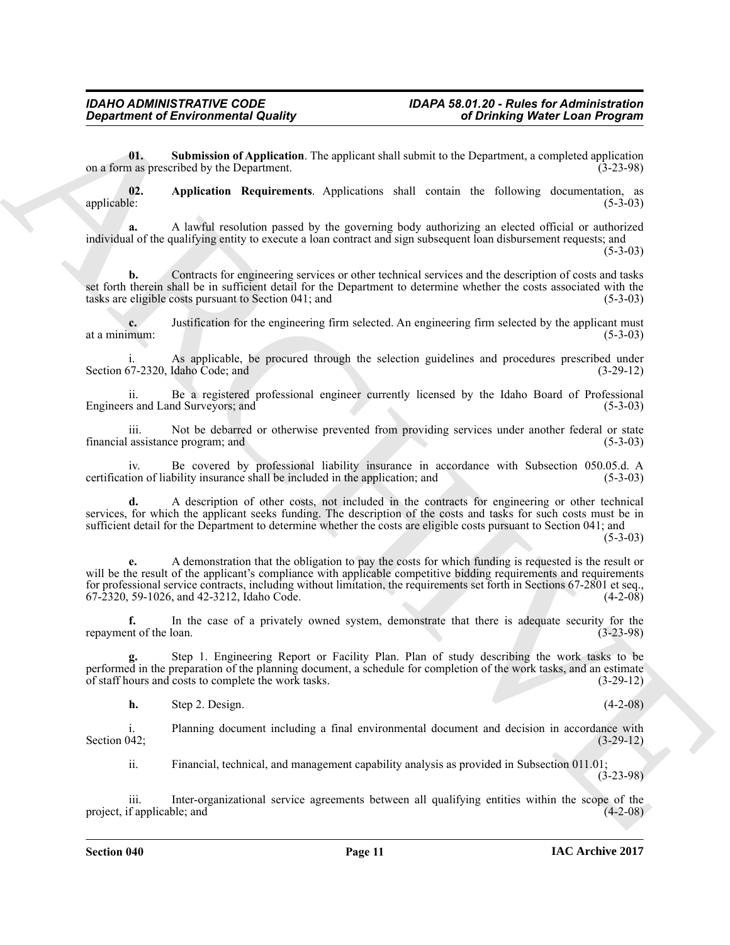<span id="page-10-1"></span>**01. Submission of Application**. The applicant shall submit to the Department, a completed application is a sprescribed by the Department. on a form as prescribed by the Department.

<span id="page-10-0"></span>**02.** Application Requirements. Applications shall contain the following documentation, as applicable: (5-3-03) applicable: (5-3-03)

**a.** A lawful resolution passed by the governing body authorizing an elected official or authorized individual of the qualifying entity to execute a loan contract and sign subsequent loan disbursement requests; and  $(5-3-03)$ 

**b.** Contracts for engineering services or other technical services and the description of costs and tasks set forth therein shall be in sufficient detail for the Department to determine whether the costs associated with the tasks are eligible costs pursuant to Section 041; and (5-3-03) tasks are eligible costs pursuant to Section  $041$ ; and

**c.** Justification for the engineering firm selected. An engineering firm selected by the applicant must at a minimum: (5-3-03) at a minimum:  $(5-3-03)$ 

As applicable, be procured through the selection guidelines and procedures prescribed under Idaho Code: and (3-29-12) Section  $67-2320$ , Idaho Code; and

ii. Be a registered professional engineer currently licensed by the Idaho Board of Professional Engineers and Land Surveyors; and

iii. Not be debarred or otherwise prevented from providing services under another federal or state assistance program; and (5-3-03) financial assistance program; and

iv. Be covered by professional liability insurance in accordance with Subsection 050.05.d. A computed in the application; and (5-3-03) certification of liability insurance shall be included in the application; and

**d.** A description of other costs, not included in the contracts for engineering or other technical services, for which the applicant seeks funding. The description of the costs and tasks for such costs must be in sufficient detail for the Department to determine whether the costs are eligible costs pursuant to Section 041; and

(5-3-03)

ARCHIVE **e.** A demonstration that the obligation to pay the costs for which funding is requested is the result or will be the result of the applicant's compliance with applicable competitive bidding requirements and requirements for professional service contracts, including without limitation, the requirements set forth in Sections 67-2801 et seq., 67-2320, 59-1026, and 42-3212, Idaho Code. (4-2-08)

**f.** In the case of a privately owned system, demonstrate that there is adequate security for the nt of the loan. (3-23-98) repayment of the loan.

**g.** Step 1. Engineering Report or Facility Plan. Plan of study describing the work tasks to be performed in the preparation of the planning document, a schedule for completion of the work tasks, and an estimate of staff hours and costs to complete the work tasks. (3-29-12) of staff hours and costs to complete the work tasks.

**h.** Step 2. Design. (4-2-08)

i. Planning document including a final environmental document and decision in accordance with<br>
(3-29-12)<br>
(3-29-12) Section 042;  $(3-29-12)$ 

ii. Financial, technical, and management capability analysis as provided in Subsection 011.01;

(3-23-98)

iii. Inter-organizational service agreements between all qualifying entities within the scope of the f applicable; and (4-2-08) project, if applicable; and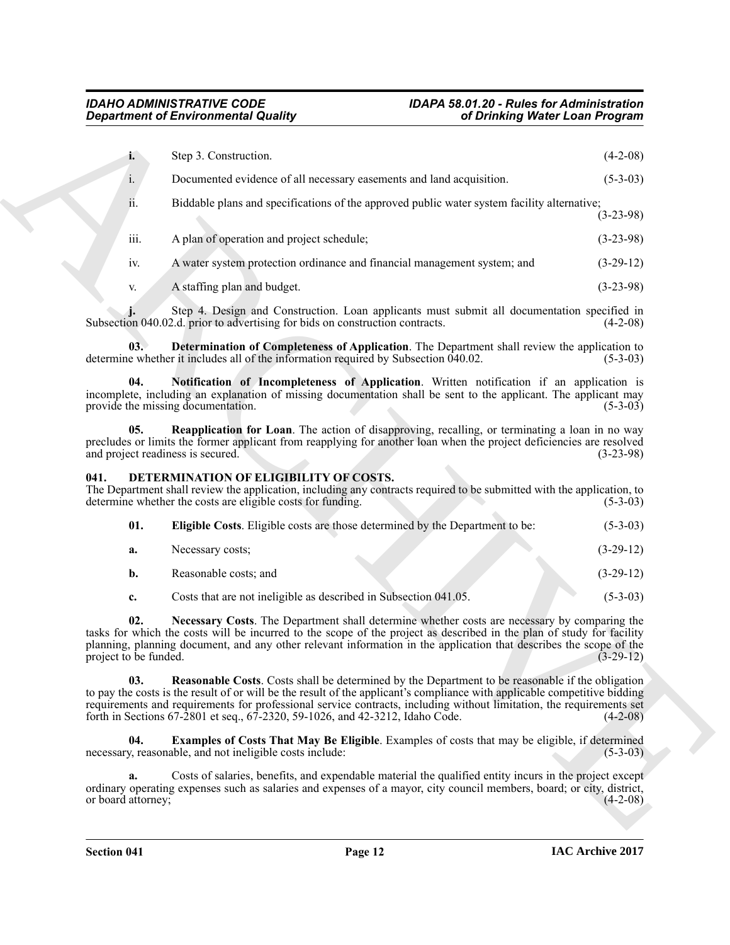|                                          | <b>Department of Environmental Quality</b>                                                                                                                                                                                                                                                                                                                                                                                             | of Drinking Water Loan Program                                                                         |             |
|------------------------------------------|----------------------------------------------------------------------------------------------------------------------------------------------------------------------------------------------------------------------------------------------------------------------------------------------------------------------------------------------------------------------------------------------------------------------------------------|--------------------------------------------------------------------------------------------------------|-------------|
| i.                                       | Step 3. Construction.                                                                                                                                                                                                                                                                                                                                                                                                                  |                                                                                                        | $(4-2-08)$  |
| i.                                       | Documented evidence of all necessary easements and land acquisition.                                                                                                                                                                                                                                                                                                                                                                   |                                                                                                        | $(5-3-03)$  |
| 11.                                      | Biddable plans and specifications of the approved public water system facility alternative;                                                                                                                                                                                                                                                                                                                                            |                                                                                                        | $(3-23-98)$ |
| iii.                                     | A plan of operation and project schedule;                                                                                                                                                                                                                                                                                                                                                                                              |                                                                                                        | $(3-23-98)$ |
| iv.                                      | A water system protection ordinance and financial management system; and                                                                                                                                                                                                                                                                                                                                                               |                                                                                                        | $(3-29-12)$ |
| V.                                       | A staffing plan and budget.                                                                                                                                                                                                                                                                                                                                                                                                            |                                                                                                        | $(3-23-98)$ |
|                                          | Step 4. Design and Construction. Loan applicants must submit all documentation specified in<br>Subsection 040.02.d. prior to advertising for bids on construction contracts.                                                                                                                                                                                                                                                           |                                                                                                        | $(4-2-08)$  |
| 03.                                      | <b>Determination of Completeness of Application</b> . The Department shall review the application to<br>determine whether it includes all of the information required by Subsection 040.02.                                                                                                                                                                                                                                            |                                                                                                        | $(5-3-03)$  |
| 04.                                      | Notification of Incompleteness of Application. Written notification if an application is<br>incomplete, including an explanation of missing documentation shall be sent to the applicant. The applicant may<br>provide the missing documentation.                                                                                                                                                                                      |                                                                                                        | $(5-3-03)$  |
| 05.<br>and project readiness is secured. | <b>Reapplication for Loan</b> . The action of disapproving, recalling, or terminating a loan in no way<br>precludes or limits the former applicant from reapplying for another loan when the project deficiencies are resolved                                                                                                                                                                                                         |                                                                                                        | $(3-23-98)$ |
| 041.                                     | DETERMINATION OF ELIGIBILITY OF COSTS.<br>The Department shall review the application, including any contracts required to be submitted with the application, to<br>determine whether the costs are eligible costs for funding.                                                                                                                                                                                                        |                                                                                                        | $(5-3-03)$  |
| 01.                                      | Eligible Costs. Eligible costs are those determined by the Department to be:                                                                                                                                                                                                                                                                                                                                                           |                                                                                                        | $(5-3-03)$  |
| a.                                       | Necessary costs;                                                                                                                                                                                                                                                                                                                                                                                                                       |                                                                                                        | $(3-29-12)$ |
| b.                                       | Reasonable costs; and                                                                                                                                                                                                                                                                                                                                                                                                                  |                                                                                                        | $(3-29-12)$ |
| c.                                       | Costs that are not ineligible as described in Subsection 041.05.                                                                                                                                                                                                                                                                                                                                                                       |                                                                                                        | $(5-3-03)$  |
| 02.<br>project to be funded.             | Necessary Costs. The Department shall determine whether costs are necessary by comparing the<br>tasks for which the costs will be incurred to the scope of the project as described in the plan of study for facility<br>planning, planning document, and any other relevant information in the application that describes the scope of the                                                                                            |                                                                                                        | $(3-29-12)$ |
| 03.                                      | Reasonable Costs. Costs shall be determined by the Department to be reasonable if the obligation<br>to pay the costs is the result of or will be the result of the applicant's compliance with applicable competitive bidding<br>requirements and requirements for professional service contracts, including without limitation, the requirements set<br>forth in Sections 67-2801 et seq., 67-2320, 59-1026, and 42-3212, Idaho Code. |                                                                                                        | $(4-2-08)$  |
| 04.                                      | <b>Examples of Costs That May Be Eligible.</b> Examples of costs that may be eligible, if determined<br>necessary, reasonable, and not ineligible costs include:                                                                                                                                                                                                                                                                       |                                                                                                        | $(5-3-03)$  |
|                                          |                                                                                                                                                                                                                                                                                                                                                                                                                                        | Costs of salaries, benefits, and expendable material the qualified entity incurs in the project except |             |
| a.<br>or board attorney;                 | ordinary operating expenses such as salaries and expenses of a mayor, city council members, board; or city, district,                                                                                                                                                                                                                                                                                                                  |                                                                                                        | $(4-2-08)$  |

#### <span id="page-11-8"></span><span id="page-11-7"></span><span id="page-11-6"></span><span id="page-11-1"></span><span id="page-11-0"></span>**041. DETERMINATION OF ELIGIBILITY OF COSTS.**

<span id="page-11-5"></span><span id="page-11-4"></span><span id="page-11-3"></span><span id="page-11-2"></span>

| 01. | <b>Eligible Costs.</b> Eligible costs are those determined by the Department to be: | $(5-3-03)$  |
|-----|-------------------------------------------------------------------------------------|-------------|
| а.  | Necessary costs;                                                                    | $(3-29-12)$ |
| b.  | Reasonable costs; and                                                               | $(3-29-12)$ |
|     |                                                                                     | $  -$       |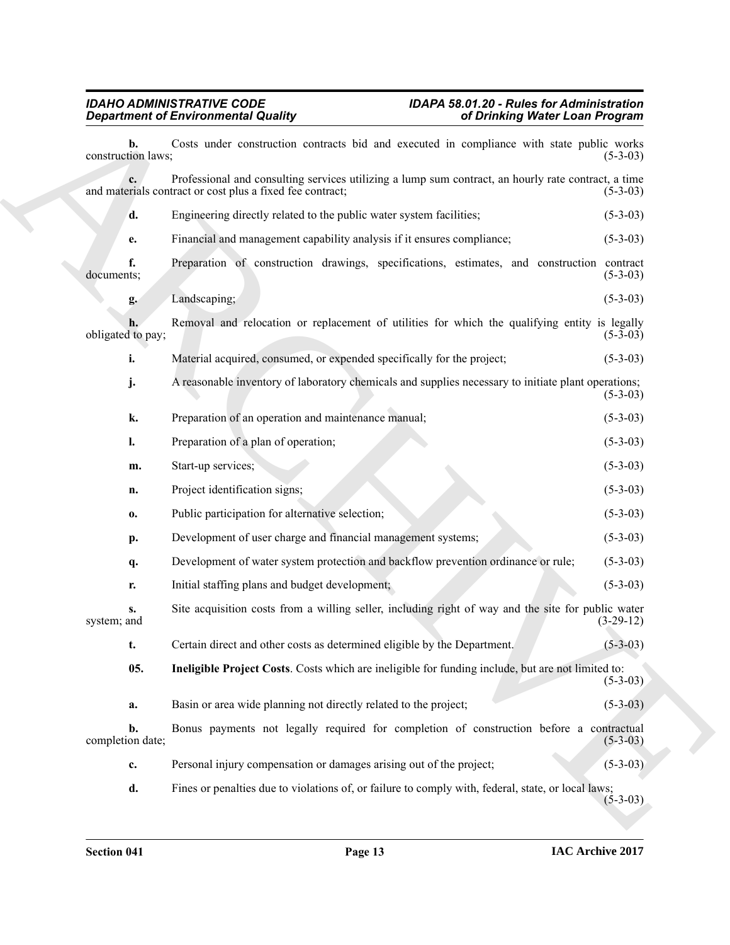<span id="page-12-0"></span>

|                          | <b>Department of Environmental Quality</b><br>of Drinking Water Loan Program                                                                                     |             |
|--------------------------|------------------------------------------------------------------------------------------------------------------------------------------------------------------|-------------|
| b.<br>construction laws; | Costs under construction contracts bid and executed in compliance with state public works                                                                        | $(5-3-03)$  |
|                          | Professional and consulting services utilizing a lump sum contract, an hourly rate contract, a time<br>and materials contract or cost plus a fixed fee contract; | $(5-3-03)$  |
| d.                       | Engineering directly related to the public water system facilities;                                                                                              | $(5-3-03)$  |
| e.                       | Financial and management capability analysis if it ensures compliance;                                                                                           | $(5-3-03)$  |
| f.<br>documents;         | Preparation of construction drawings, specifications, estimates, and construction contract                                                                       | $(5-3-03)$  |
| g.                       | Landscaping;                                                                                                                                                     | $(5-3-03)$  |
| obligated to pay;        | Removal and relocation or replacement of utilities for which the qualifying entity is legally                                                                    | $(5-3-03)$  |
| i.                       | Material acquired, consumed, or expended specifically for the project;                                                                                           | $(5-3-03)$  |
| j.                       | A reasonable inventory of laboratory chemicals and supplies necessary to initiate plant operations;                                                              | $(5-3-03)$  |
| k.                       | Preparation of an operation and maintenance manual;                                                                                                              | $(5-3-03)$  |
| I.                       | Preparation of a plan of operation;                                                                                                                              | $(5-3-03)$  |
| m.                       | Start-up services;                                                                                                                                               | $(5-3-03)$  |
| n.                       | Project identification signs;                                                                                                                                    | $(5-3-03)$  |
| $\mathbf{0}$             | Public participation for alternative selection;                                                                                                                  | $(5-3-03)$  |
| p.                       | Development of user charge and financial management systems;                                                                                                     | $(5-3-03)$  |
| q.                       | Development of water system protection and backflow prevention ordinance or rule;                                                                                | $(5-3-03)$  |
| r.                       | Initial staffing plans and budget development;                                                                                                                   | $(5-3-03)$  |
| s.<br>system; and        | Site acquisition costs from a willing seller, including right of way and the site for public water                                                               | $(3-29-12)$ |
| t.                       | Certain direct and other costs as determined eligible by the Department.                                                                                         | $(5-3-03)$  |
| 05.                      | Ineligible Project Costs. Costs which are ineligible for funding include, but are not limited to:                                                                | $(5-3-03)$  |
| a.                       | Basin or area wide planning not directly related to the project;                                                                                                 | $(5-3-03)$  |
| b.<br>completion date;   | Bonus payments not legally required for completion of construction before a contractual                                                                          | $(5-3-03)$  |
| c.                       | Personal injury compensation or damages arising out of the project;                                                                                              | $(5-3-03)$  |
| d.                       | Fines or penalties due to violations of, or failure to comply with, federal, state, or local laws;                                                               | $(5-3-03)$  |
|                          |                                                                                                                                                                  |             |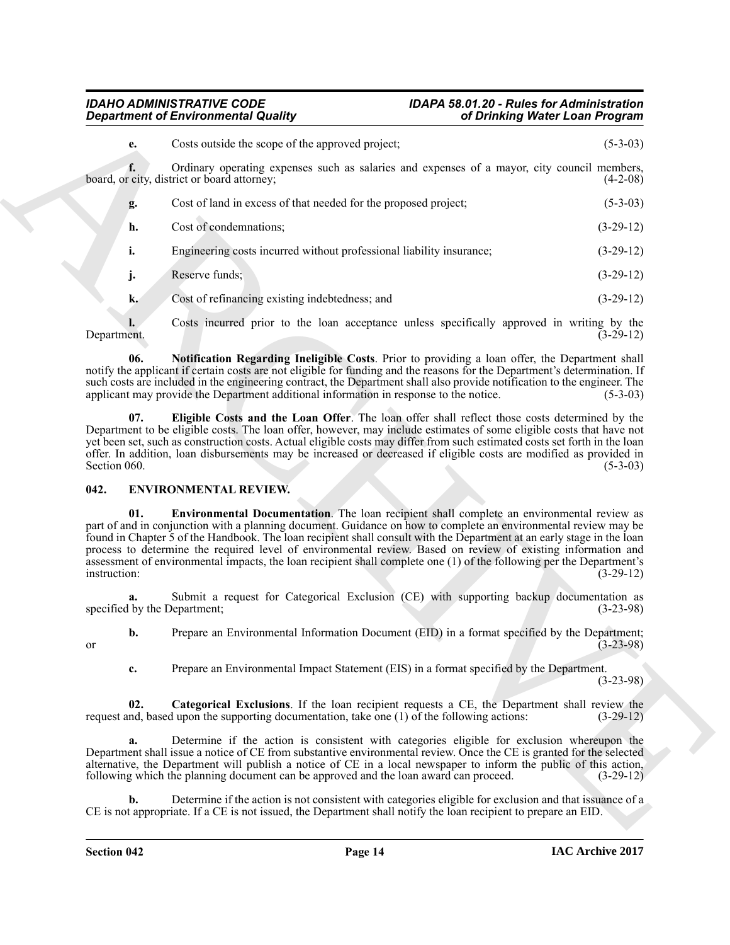#### *IDAHO ADMINISTRATIVE CODE IDAPA 58.01.20 - Rules for Administration Department of Environmental Quality of Drinking Water Loan Program*

| Costs outside the scope of the approved project;<br>e.<br>Ordinary operating expenses such as salaries and expenses of a mayor, city council members,<br>f.<br>board, or city, district or board attorney;<br>Cost of land in excess of that needed for the proposed project;<br>g.<br>Cost of condemnations;<br>h.<br>i.<br>Engineering costs incurred without professional liability insurance;<br>Reserve funds;<br>j.<br>k.<br>Cost of refinancing existing indebtedness; and<br>Costs incurred prior to the loan acceptance unless specifically approved in writing by the<br>Department.<br>06.<br>Notification Regarding Ineligible Costs. Prior to providing a loan offer, the Department shall<br>notify the applicant if certain costs are not eligible for funding and the reasons for the Department's determination. If<br>such costs are included in the engineering contract, the Department shall also provide notification to the engineer. The<br>applicant may provide the Department additional information in response to the notice.<br>Eligible Costs and the Loan Offer. The loan offer shall reflect those costs determined by the<br>07.<br>Department to be eligible costs. The loan offer, however, may include estimates of some eligible costs that have not<br>yet been set, such as construction costs. Actual eligible costs may differ from such estimated costs set forth in the loan<br>offer. In addition, loan disbursements may be increased or decreased if eligible costs are modified as provided in<br>Section 060.<br>ENVIRONMENTAL REVIEW.<br>042.<br>Environmental Documentation. The loan recipient shall complete an environmental review as<br>01.<br>part of and in conjunction with a planning document. Guidance on how to complete an environmental review may be<br>found in Chapter 5 of the Handbook. The loan recipient shall consult with the Department at an early stage in the loan<br>process to determine the required level of environmental review. Based on review of existing information and<br>assessment of environmental impacts, the loan recipient shall complete one (1) of the following per the Department's<br>instruction:<br>Submit a request for Categorical Exclusion (CE) with supporting backup documentation as<br>a.<br>specified by the Department;<br>Prepare an Environmental Information Document (EID) in a format specified by the Department;<br>b.<br>or<br>Prepare an Environmental Impact Statement (EIS) in a format specified by the Department.<br>c.<br>Categorical Exclusions. If the loan recipient requests a CE, the Department shall review the<br>02.<br>request and, based upon the supporting documentation, take one (1) of the following actions:<br>Determine if the action is consistent with categories eligible for exclusion whereupon the<br>a.<br>Department shall issue a notice of CE from substantive environmental review. Once the CE is granted for the selected<br>alternative, the Department will publish a notice of CE in a local newspaper to inform the public of this action,<br>following which the planning document can be approved and the loan award can proceed.<br>Determine if the action is not consistent with categories eligible for exclusion and that issuance of a<br>b.<br>CE is not appropriate. If a CE is not issued, the Department shall notify the loan recipient to prepare an EID. | <b>Department of Environmental Quality</b> | of Drinking Water Loan Program |             |
|----------------------------------------------------------------------------------------------------------------------------------------------------------------------------------------------------------------------------------------------------------------------------------------------------------------------------------------------------------------------------------------------------------------------------------------------------------------------------------------------------------------------------------------------------------------------------------------------------------------------------------------------------------------------------------------------------------------------------------------------------------------------------------------------------------------------------------------------------------------------------------------------------------------------------------------------------------------------------------------------------------------------------------------------------------------------------------------------------------------------------------------------------------------------------------------------------------------------------------------------------------------------------------------------------------------------------------------------------------------------------------------------------------------------------------------------------------------------------------------------------------------------------------------------------------------------------------------------------------------------------------------------------------------------------------------------------------------------------------------------------------------------------------------------------------------------------------------------------------------------------------------------------------------------------------------------------------------------------------------------------------------------------------------------------------------------------------------------------------------------------------------------------------------------------------------------------------------------------------------------------------------------------------------------------------------------------------------------------------------------------------------------------------------------------------------------------------------------------------------------------------------------------------------------------------------------------------------------------------------------------------------------------------------------------------------------------------------------------------------------------------------------------------------------------------------------------------------------------------------------------------------------------------------------------------------------------------------------------------------------------------------------------------------------------------------------------------------------------------------------------------------------------------------------------------------------------------------------------------------------------------------------------------------------------------------------------------------------------------------------------------------------------------------------------------------------|--------------------------------------------|--------------------------------|-------------|
|                                                                                                                                                                                                                                                                                                                                                                                                                                                                                                                                                                                                                                                                                                                                                                                                                                                                                                                                                                                                                                                                                                                                                                                                                                                                                                                                                                                                                                                                                                                                                                                                                                                                                                                                                                                                                                                                                                                                                                                                                                                                                                                                                                                                                                                                                                                                                                                                                                                                                                                                                                                                                                                                                                                                                                                                                                                                                                                                                                                                                                                                                                                                                                                                                                                                                                                                                                                                                                              |                                            |                                | $(5-3-03)$  |
|                                                                                                                                                                                                                                                                                                                                                                                                                                                                                                                                                                                                                                                                                                                                                                                                                                                                                                                                                                                                                                                                                                                                                                                                                                                                                                                                                                                                                                                                                                                                                                                                                                                                                                                                                                                                                                                                                                                                                                                                                                                                                                                                                                                                                                                                                                                                                                                                                                                                                                                                                                                                                                                                                                                                                                                                                                                                                                                                                                                                                                                                                                                                                                                                                                                                                                                                                                                                                                              |                                            |                                | $(4-2-08)$  |
|                                                                                                                                                                                                                                                                                                                                                                                                                                                                                                                                                                                                                                                                                                                                                                                                                                                                                                                                                                                                                                                                                                                                                                                                                                                                                                                                                                                                                                                                                                                                                                                                                                                                                                                                                                                                                                                                                                                                                                                                                                                                                                                                                                                                                                                                                                                                                                                                                                                                                                                                                                                                                                                                                                                                                                                                                                                                                                                                                                                                                                                                                                                                                                                                                                                                                                                                                                                                                                              |                                            |                                | $(5-3-03)$  |
|                                                                                                                                                                                                                                                                                                                                                                                                                                                                                                                                                                                                                                                                                                                                                                                                                                                                                                                                                                                                                                                                                                                                                                                                                                                                                                                                                                                                                                                                                                                                                                                                                                                                                                                                                                                                                                                                                                                                                                                                                                                                                                                                                                                                                                                                                                                                                                                                                                                                                                                                                                                                                                                                                                                                                                                                                                                                                                                                                                                                                                                                                                                                                                                                                                                                                                                                                                                                                                              |                                            |                                | $(3-29-12)$ |
|                                                                                                                                                                                                                                                                                                                                                                                                                                                                                                                                                                                                                                                                                                                                                                                                                                                                                                                                                                                                                                                                                                                                                                                                                                                                                                                                                                                                                                                                                                                                                                                                                                                                                                                                                                                                                                                                                                                                                                                                                                                                                                                                                                                                                                                                                                                                                                                                                                                                                                                                                                                                                                                                                                                                                                                                                                                                                                                                                                                                                                                                                                                                                                                                                                                                                                                                                                                                                                              |                                            |                                | $(3-29-12)$ |
|                                                                                                                                                                                                                                                                                                                                                                                                                                                                                                                                                                                                                                                                                                                                                                                                                                                                                                                                                                                                                                                                                                                                                                                                                                                                                                                                                                                                                                                                                                                                                                                                                                                                                                                                                                                                                                                                                                                                                                                                                                                                                                                                                                                                                                                                                                                                                                                                                                                                                                                                                                                                                                                                                                                                                                                                                                                                                                                                                                                                                                                                                                                                                                                                                                                                                                                                                                                                                                              |                                            |                                | $(3-29-12)$ |
|                                                                                                                                                                                                                                                                                                                                                                                                                                                                                                                                                                                                                                                                                                                                                                                                                                                                                                                                                                                                                                                                                                                                                                                                                                                                                                                                                                                                                                                                                                                                                                                                                                                                                                                                                                                                                                                                                                                                                                                                                                                                                                                                                                                                                                                                                                                                                                                                                                                                                                                                                                                                                                                                                                                                                                                                                                                                                                                                                                                                                                                                                                                                                                                                                                                                                                                                                                                                                                              |                                            |                                | $(3-29-12)$ |
|                                                                                                                                                                                                                                                                                                                                                                                                                                                                                                                                                                                                                                                                                                                                                                                                                                                                                                                                                                                                                                                                                                                                                                                                                                                                                                                                                                                                                                                                                                                                                                                                                                                                                                                                                                                                                                                                                                                                                                                                                                                                                                                                                                                                                                                                                                                                                                                                                                                                                                                                                                                                                                                                                                                                                                                                                                                                                                                                                                                                                                                                                                                                                                                                                                                                                                                                                                                                                                              |                                            |                                | $(3-29-12)$ |
|                                                                                                                                                                                                                                                                                                                                                                                                                                                                                                                                                                                                                                                                                                                                                                                                                                                                                                                                                                                                                                                                                                                                                                                                                                                                                                                                                                                                                                                                                                                                                                                                                                                                                                                                                                                                                                                                                                                                                                                                                                                                                                                                                                                                                                                                                                                                                                                                                                                                                                                                                                                                                                                                                                                                                                                                                                                                                                                                                                                                                                                                                                                                                                                                                                                                                                                                                                                                                                              |                                            |                                | $(5-3-03)$  |
|                                                                                                                                                                                                                                                                                                                                                                                                                                                                                                                                                                                                                                                                                                                                                                                                                                                                                                                                                                                                                                                                                                                                                                                                                                                                                                                                                                                                                                                                                                                                                                                                                                                                                                                                                                                                                                                                                                                                                                                                                                                                                                                                                                                                                                                                                                                                                                                                                                                                                                                                                                                                                                                                                                                                                                                                                                                                                                                                                                                                                                                                                                                                                                                                                                                                                                                                                                                                                                              |                                            |                                | $(5-3-03)$  |
|                                                                                                                                                                                                                                                                                                                                                                                                                                                                                                                                                                                                                                                                                                                                                                                                                                                                                                                                                                                                                                                                                                                                                                                                                                                                                                                                                                                                                                                                                                                                                                                                                                                                                                                                                                                                                                                                                                                                                                                                                                                                                                                                                                                                                                                                                                                                                                                                                                                                                                                                                                                                                                                                                                                                                                                                                                                                                                                                                                                                                                                                                                                                                                                                                                                                                                                                                                                                                                              |                                            |                                |             |
|                                                                                                                                                                                                                                                                                                                                                                                                                                                                                                                                                                                                                                                                                                                                                                                                                                                                                                                                                                                                                                                                                                                                                                                                                                                                                                                                                                                                                                                                                                                                                                                                                                                                                                                                                                                                                                                                                                                                                                                                                                                                                                                                                                                                                                                                                                                                                                                                                                                                                                                                                                                                                                                                                                                                                                                                                                                                                                                                                                                                                                                                                                                                                                                                                                                                                                                                                                                                                                              |                                            |                                | $(3-29-12)$ |
|                                                                                                                                                                                                                                                                                                                                                                                                                                                                                                                                                                                                                                                                                                                                                                                                                                                                                                                                                                                                                                                                                                                                                                                                                                                                                                                                                                                                                                                                                                                                                                                                                                                                                                                                                                                                                                                                                                                                                                                                                                                                                                                                                                                                                                                                                                                                                                                                                                                                                                                                                                                                                                                                                                                                                                                                                                                                                                                                                                                                                                                                                                                                                                                                                                                                                                                                                                                                                                              |                                            |                                | $(3-23-98)$ |
|                                                                                                                                                                                                                                                                                                                                                                                                                                                                                                                                                                                                                                                                                                                                                                                                                                                                                                                                                                                                                                                                                                                                                                                                                                                                                                                                                                                                                                                                                                                                                                                                                                                                                                                                                                                                                                                                                                                                                                                                                                                                                                                                                                                                                                                                                                                                                                                                                                                                                                                                                                                                                                                                                                                                                                                                                                                                                                                                                                                                                                                                                                                                                                                                                                                                                                                                                                                                                                              |                                            |                                | $(3-23-98)$ |
|                                                                                                                                                                                                                                                                                                                                                                                                                                                                                                                                                                                                                                                                                                                                                                                                                                                                                                                                                                                                                                                                                                                                                                                                                                                                                                                                                                                                                                                                                                                                                                                                                                                                                                                                                                                                                                                                                                                                                                                                                                                                                                                                                                                                                                                                                                                                                                                                                                                                                                                                                                                                                                                                                                                                                                                                                                                                                                                                                                                                                                                                                                                                                                                                                                                                                                                                                                                                                                              |                                            |                                | $(3-23-98)$ |
|                                                                                                                                                                                                                                                                                                                                                                                                                                                                                                                                                                                                                                                                                                                                                                                                                                                                                                                                                                                                                                                                                                                                                                                                                                                                                                                                                                                                                                                                                                                                                                                                                                                                                                                                                                                                                                                                                                                                                                                                                                                                                                                                                                                                                                                                                                                                                                                                                                                                                                                                                                                                                                                                                                                                                                                                                                                                                                                                                                                                                                                                                                                                                                                                                                                                                                                                                                                                                                              |                                            |                                | $(3-29-12)$ |
|                                                                                                                                                                                                                                                                                                                                                                                                                                                                                                                                                                                                                                                                                                                                                                                                                                                                                                                                                                                                                                                                                                                                                                                                                                                                                                                                                                                                                                                                                                                                                                                                                                                                                                                                                                                                                                                                                                                                                                                                                                                                                                                                                                                                                                                                                                                                                                                                                                                                                                                                                                                                                                                                                                                                                                                                                                                                                                                                                                                                                                                                                                                                                                                                                                                                                                                                                                                                                                              |                                            |                                | $(3-29-12)$ |
|                                                                                                                                                                                                                                                                                                                                                                                                                                                                                                                                                                                                                                                                                                                                                                                                                                                                                                                                                                                                                                                                                                                                                                                                                                                                                                                                                                                                                                                                                                                                                                                                                                                                                                                                                                                                                                                                                                                                                                                                                                                                                                                                                                                                                                                                                                                                                                                                                                                                                                                                                                                                                                                                                                                                                                                                                                                                                                                                                                                                                                                                                                                                                                                                                                                                                                                                                                                                                                              |                                            |                                |             |

### <span id="page-13-5"></span><span id="page-13-4"></span><span id="page-13-3"></span><span id="page-13-2"></span><span id="page-13-1"></span><span id="page-13-0"></span>**042. ENVIRONMENTAL REVIEW.**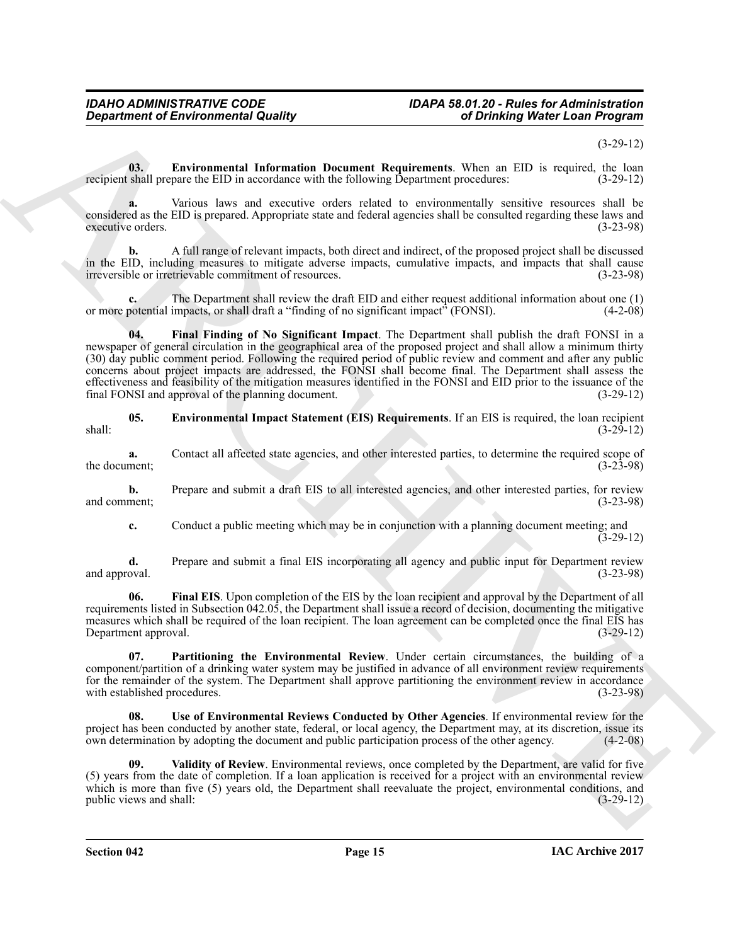### *IDAHO ADMINISTRATIVE CODE IDAPA 58.01.20 - Rules for Administration*

(3-29-12)

<span id="page-14-1"></span>**03. Environmental Information Document Requirements**. When an EID is required, the loan shall prepare the EID in accordance with the following Department procedures: (3-29-12) recipient shall prepare the EID in accordance with the following Department procedures:

**a.** Various laws and executive orders related to environmentally sensitive resources shall be considered as the EID is prepared. Appropriate state and federal agencies shall be consulted regarding these laws and executive orders. (3-23-98) executive orders.

**b.** A full range of relevant impacts, both direct and indirect, of the proposed project shall be discussed in the EID, including measures to mitigate adverse impacts, cumulative impacts, and impacts that shall cause<br>irreversible or irretrievable commitment of resources. (3-23-98) irreversible or irretrievable commitment of resources.

<span id="page-14-3"></span>**c.** The Department shall review the draft EID and either request additional information about one (1) or more potential impacts, or shall draft a "finding of no significant impact" (FONSI). (4-2-08)

*Given the foreign matrix is using*<br> **Constrained Foreign matrix is used to the constraint Representation (Some are 10) in received and the systems of the systems of the systems of the systems of the systems of the syst 04. Final Finding of No Significant Impact**. The Department shall publish the draft FONSI in a newspaper of general circulation in the geographical area of the proposed project and shall allow a minimum thirty (30) day public comment period. Following the required period of public review and comment and after any public concerns about project impacts are addressed, the FONSI shall become final. The Department shall assess the effectiveness and feasibility of the mitigation measures identified in the FONSI and EID prior to the issuance of the final FONSI and approval of the planning document. (3-29-12) final FONSI and approval of the planning document.

<span id="page-14-0"></span>**05. Environmental Impact Statement (EIS) Requirements**. If an EIS is required, the loan recipient shall: (3-29-12)

**a.** Contact all affected state agencies, and other interested parties, to determine the required scope of ment;<br>(3-23-98) the document;

**b.** Prepare and submit a draft EIS to all interested agencies, and other interested parties, for review ment:  $(3-23-98)$ and comment;

<span id="page-14-2"></span>**c.** Conduct a public meeting which may be in conjunction with a planning document meeting; and (3-29-12)

**d.** Prepare and submit a final EIS incorporating all agency and public input for Department review oval.  $(3-23-98)$ and approval.

**06. Final EIS**. Upon completion of the EIS by the loan recipient and approval by the Department of all requirements listed in Subsection 042.05, the Department shall issue a record of decision, documenting the mitigative measures which shall be required of the loan recipient. The loan agreement can be completed once the final EIS has Department approval. (3-29-12)

<span id="page-14-4"></span>**07. Partitioning the Environmental Review**. Under certain circumstances, the building of a component/partition of a drinking water system may be justified in advance of all environment review requirements for the remainder of the system. The Department shall approve partitioning the environment review in accordance with established procedures. (3-23-98) with established procedures.

<span id="page-14-5"></span>**08. Use of Environmental Reviews Conducted by Other Agencies**. If environmental review for the project has been conducted by another state, federal, or local agency, the Department may, at its discretion, issue its own determination by adopting the document and public participation process of the other agency. (4-2own determination by adopting the document and public participation process of the other agency.

<span id="page-14-6"></span>**09. Validity of Review**. Environmental reviews, once completed by the Department, are valid for five (5) years from the date of completion. If a loan application is received for a project with an environmental review which is more than five (5) years old, the Department shall reevaluate the project, environmental conditions, and public views and shall:  $(3-29-12)$ public views and shall: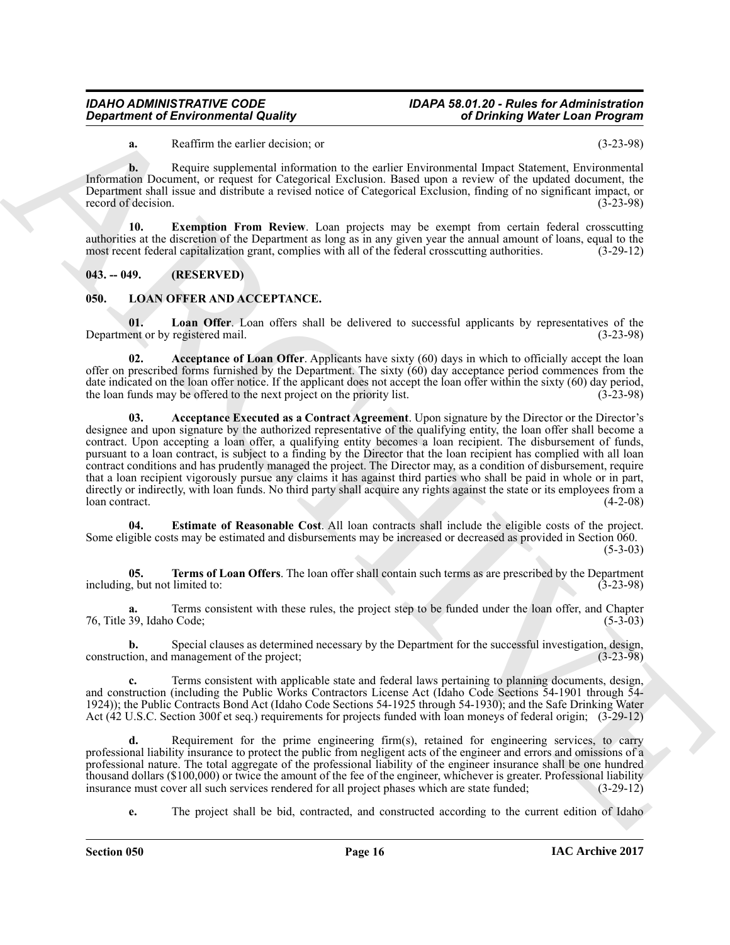### *IDAHO ADMINISTRATIVE CODE IDAPA 58.01.20 - Rules for Administration*

<span id="page-15-2"></span>**a.** Reaffirm the earlier decision; or (3-23-98)

**b.** Require supplemental information to the earlier Environmental Impact Statement, Environmental Information Document, or request for Categorical Exclusion. Based upon a review of the updated document, the Department shall issue and distribute a revised notice of Categorical Exclusion, finding of no significant impact, or record of decision.

**10. Exemption From Review**. Loan projects may be exempt from certain federal crosscutting authorities at the discretion of the Department as long as in any given year the annual amount of loans, equal to the most recent federal capitalization grant, complies with all of the federal crosscutting authorities. (3-29-12)

<span id="page-15-0"></span>**043. -- 049. (RESERVED)**

#### <span id="page-15-3"></span><span id="page-15-1"></span>**050. LOAN OFFER AND ACCEPTANCE.**

<span id="page-15-7"></span>**01.** Loan Offer. Loan offers shall be delivered to successful applicants by representatives of the ent or by registered mail. (3-23-98) Department or by registered mail.

<span id="page-15-5"></span><span id="page-15-4"></span>**Acceptance of Loan Offer**. Applicants have sixty (60) days in which to officially accept the loan offer on prescribed forms furnished by the Department. The sixty  $(60)$  day acceptance period commences from the date indicated on the loan offer notice. If the applicant does not accept the loan offer within the sixty (60) day period, the loan funds may be offered to the next project on the priority list. (3-23-98) the loan funds may be offered to the next project on the priority list.

*Department of Environmental Quality*<br> **ARCHITECTS**<br> **ARCHITECTS**<br> **ARCHITECTS**<br> **ARCHITECTS**<br> **ARCHITECTS**<br> **ARCHITECTS**<br> **ARCHITECTS**<br> **ARCHITECTS**<br> **ARCHITECTS**<br> **ARCHITECTS**<br> **ARCHITECTS**<br> **ARCHITECTS**<br> **ARCHITECTS 03. Acceptance Executed as a Contract Agreement**. Upon signature by the Director or the Director's designee and upon signature by the authorized representative of the qualifying entity, the loan offer shall become a contract. Upon accepting a loan offer, a qualifying entity becomes a loan recipient. The disbursement of funds, pursuant to a loan contract, is subject to a finding by the Director that the loan recipient has complied with all loan contract conditions and has prudently managed the project. The Director may, as a condition of disbursement, require that a loan recipient vigorously pursue any claims it has against third parties who shall be paid in whole or in part, directly or indirectly, with loan funds. No third party shall acquire any rights against the state or its employees from a loan contract. loan contract. (4-2-08)

<span id="page-15-6"></span>**04. Estimate of Reasonable Cost**. All loan contracts shall include the eligible costs of the project. Some eligible costs may be estimated and disbursements may be increased or decreased as provided in Section 060.  $(5-3-03)$ 

<span id="page-15-8"></span>**05. Terms of Loan Offers**. The loan offer shall contain such terms as are prescribed by the Department  $(3-23-98)$ including, but not limited to:

Terms consistent with these rules, the project step to be funded under the loan offer, and Chapter (5-3-03) 76, Title 39, Idaho Code;

**b.** Special clauses as determined necessary by the Department for the successful investigation, design, tion, and management of the project;  $(3-23-98)$ construction, and management of the project;

**c.** Terms consistent with applicable state and federal laws pertaining to planning documents, design, and construction (including the Public Works Contractors License Act (Idaho Code Sections 54-1901 through 54- 1924)); the Public Contracts Bond Act (Idaho Code Sections 54-1925 through 54-1930); and the Safe Drinking Water Act (42 U.S.C. Section 300f et seq.) requirements for projects funded with loan moneys of federal origin; (3-29-12)

**d.** Requirement for the prime engineering firm(s), retained for engineering services, to carry professional liability insurance to protect the public from negligent acts of the engineer and errors and omissions of a professional nature. The total aggregate of the professional liability of the engineer insurance shall be one hundred thousand dollars (\$100,000) or twice the amount of the fee of the engineer, whichever is greater. Professional liability insurance must cover all such services rendered for all project phases which are state funded; (3-29insurance must cover all such services rendered for all project phases which are state funded;

**e.** The project shall be bid, contracted, and constructed according to the current edition of Idaho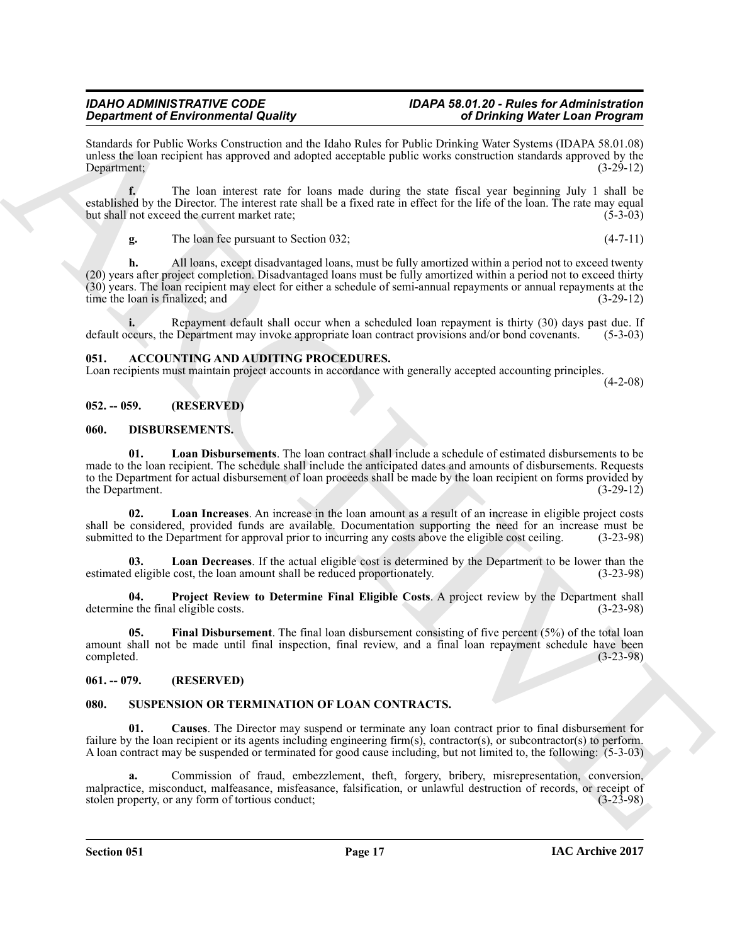### *IDAHO ADMINISTRATIVE CODE IDAPA 58.01.20 - Rules for Administration*

Standards for Public Works Construction and the Idaho Rules for Public Drinking Water Systems (IDAPA 58.01.08) unless the loan recipient has approved and adopted acceptable public works construction standards approved by the Department; (3-29-12) Department; (3-29-12)

**f.** The loan interest rate for loans made during the state fiscal year beginning July 1 shall be established by the Director. The interest rate shall be a fixed rate in effect for the life of the loan. The rate may equal but shall not exceed the current market rate; (5-3-03) but shall not exceed the current market rate;

**g.** The loan fee pursuant to Section 032; (4-7-11)

**Spacing on the second of Sudary Controller Controller Sudary (decision of Controller Sudary 2002)**<br>
State to the second of the second of the second of the second of the second of the second of the second of the second of **h.** All loans, except disadvantaged loans, must be fully amortized within a period not to exceed twenty (20) years after project completion. Disadvantaged loans must be fully amortized within a period not to exceed thirty (30) years. The loan recipient may elect for either a schedule of semi-annual repayments or annual repayments at the time the loan is finalized; and

**i.** Repayment default shall occur when a scheduled loan repayment is thirty (30) days past due. If ccurs, the Department may invoke appropriate loan contract provisions and/or bond covenants. (5-3-03) default occurs, the Department may invoke appropriate loan contract provisions and/or bond covenants.

#### <span id="page-16-5"></span><span id="page-16-0"></span>**051. ACCOUNTING AND AUDITING PROCEDURES.**

Loan recipients must maintain project accounts in accordance with generally accepted accounting principles.

 $(4-2-08)$ 

#### <span id="page-16-1"></span>**052. -- 059. (RESERVED)**

#### <span id="page-16-6"></span><span id="page-16-2"></span>**060. DISBURSEMENTS.**

<span id="page-16-9"></span>**01. Loan Disbursements**. The loan contract shall include a schedule of estimated disbursements to be made to the loan recipient. The schedule shall include the anticipated dates and amounts of disbursements. Requests to the Department for actual disbursement of loan proceeds shall be made by the loan recipient on forms provided by the Department. (3-29-12) the Department.

<span id="page-16-10"></span>**02. Loan Increases**. An increase in the loan amount as a result of an increase in eligible project costs shall be considered, provided funds are available. Documentation supporting the need for an increase must be submitted to the Department for approval prior to incurring any costs above the eligible cost ceiling. (3-23-98) submitted to the Department for approval prior to incurring any costs above the eligible cost ceiling.

<span id="page-16-8"></span>**03.** Loan Decreases. If the actual eligible cost is determined by the Department to be lower than the least election amount shall be reduced proportionately. (3-23-98) estimated eligible cost, the loan amount shall be reduced proportionately.

<span id="page-16-11"></span>**04. Project Review to Determine Final Eligible Costs**. A project review by the Department shall determine the final eligible costs.

<span id="page-16-7"></span>**05. Final Disbursement**. The final loan disbursement consisting of five percent (5%) of the total loan amount shall not be made until final inspection, final review, and a final loan repayment schedule have been completed. (3-23-98) completed. (3-23-98)

#### <span id="page-16-3"></span>**061. -- 079. (RESERVED)**

#### <span id="page-16-12"></span><span id="page-16-4"></span>**080. SUSPENSION OR TERMINATION OF LOAN CONTRACTS.**

<span id="page-16-13"></span>**01. Causes**. The Director may suspend or terminate any loan contract prior to final disbursement for failure by the loan recipient or its agents including engineering firm(s), contractor(s), or subcontractor(s) to perform. A loan contract may be suspended or terminated for good cause including, but not limited to, the following: (5-3-03)

**a.** Commission of fraud, embezzlement, theft, forgery, bribery, misrepresentation, conversion, malpractice, misconduct, malfeasance, misfeasance, falsification, or unlawful destruction of records, or receipt of stolen property, or any form of tortious conduct; (3-23-98) stolen property, or any form of tortious conduct;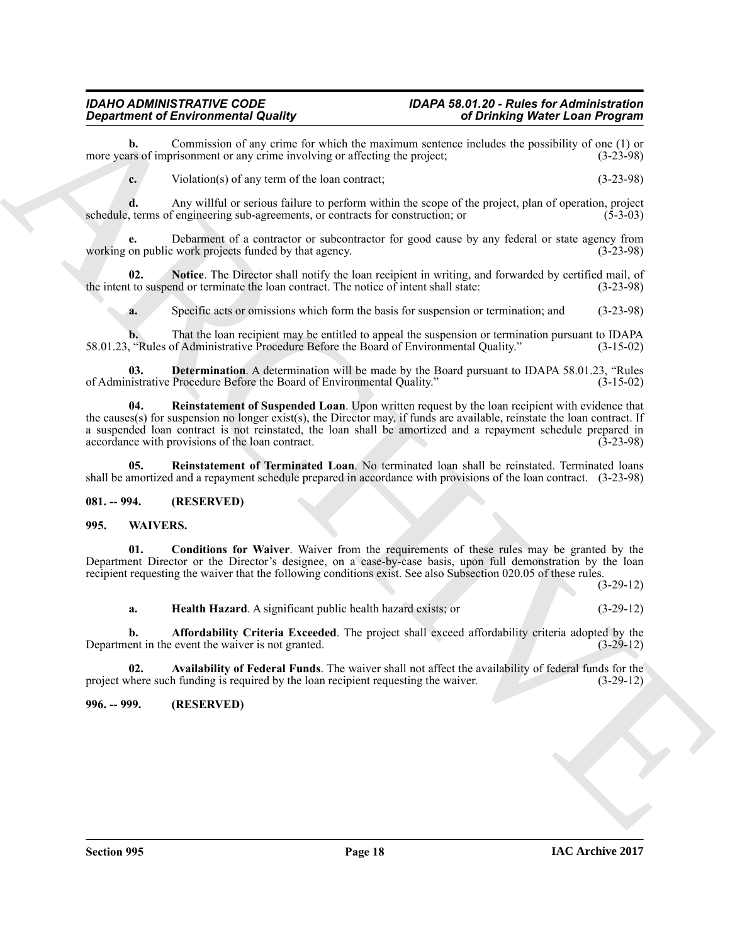#### *IDAHO ADMINISTRATIVE CODE IDAPA 58.01.20 - Rules for Administration Department of Environmental Quality of Drinking Water Loan Program*

**b.** Commission of any crime for which the maximum sentence includes the possibility of one (1) or ars of imprisonment or any crime involving or affecting the project:  $(3-23-98)$ more years of imprisonment or any crime involving or affecting the project;

**c.** Violation(s) of any term of the loan contract; (3-23-98)

**d.** Any willful or serious failure to perform within the scope of the project, plan of operation, project terms of engineering sub-agreements, or contracts for construction; or (5-3-03) schedule, terms of engineering sub-agreements, or contracts for construction; or

**e.** Debarment of a contractor or subcontractor for good cause by any federal or state agency from working on public work projects funded by that agency. (3-23-98)

**Notice**. The Director shall notify the loan recipient in writing, and forwarded by certified mail, of end or terminate the loan contract. The notice of intent shall state: (3-23-98) the intent to suspend or terminate the loan contract. The notice of intent shall state:

<span id="page-17-4"></span><span id="page-17-3"></span>**a.** Specific acts or omissions which form the basis for suspension or termination; and (3-23-98)

**b.** That the loan recipient may be entitled to appeal the suspension or termination pursuant to IDAPA ("Rules of Administrative Procedure Before the Board of Environmental Quality." (3-15-02) 58.01.23, "Rules of Administrative Procedure Before the Board of Environmental Quality."

<span id="page-17-5"></span>**03. Determination**. A determination will be made by the Board pursuant to IDAPA 58.01.23, "Rules of Administrative Procedure Before the Board of Environmental Quality." (3-15-02)

**Equivalent of Environmental Routing Inc.** Equivalent is the same of the same of the same of the same of the same of the same of the same of the same of the same of the same of the same of the same of the same of the same **04. Reinstatement of Suspended Loan**. Upon written request by the loan recipient with evidence that the causes(s) for suspension no longer exist(s), the Director may, if funds are available, reinstate the loan contract. If a suspended loan contract is not reinstated, the loan shall be amortized and a repayment schedule prepared in accordance with provisions of the loan contract. accordance with provisions of the loan contract.

<span id="page-17-6"></span>**05. Reinstatement of Terminated Loan**. No terminated loan shall be reinstated. Terminated loans shall be amortized and a repayment schedule prepared in accordance with provisions of the loan contract. (3-23-98)

#### <span id="page-17-0"></span>**081. -- 994. (RESERVED)**

#### <span id="page-17-7"></span><span id="page-17-1"></span>**995. WAIVERS.**

**01. Conditions for Waiver**. Waiver from the requirements of these rules may be granted by the Department Director or the Director's designee, on a case-by-case basis, upon full demonstration by the loan recipient requesting the waiver that the following conditions exist. See also Subsection 020.05 of these rules.

(3-29-12)

<span id="page-17-11"></span><span id="page-17-10"></span><span id="page-17-9"></span><span id="page-17-8"></span>**a. Health Hazard**. A significant public health hazard exists; or (3-29-12)

**b. Affordability Criteria Exceeded**. The project shall exceed affordability criteria adopted by the ent in the event the waiver is not granted. (3-29-12) Department in the event the waiver is not granted.

**02.** Availability of Federal Funds. The waiver shall not affect the availability of federal funds for the change is required by the loan recipient requesting the waiver. (3-29-12) project where such funding is required by the loan recipient requesting the waiver.

#### <span id="page-17-2"></span>**996. -- 999. (RESERVED)**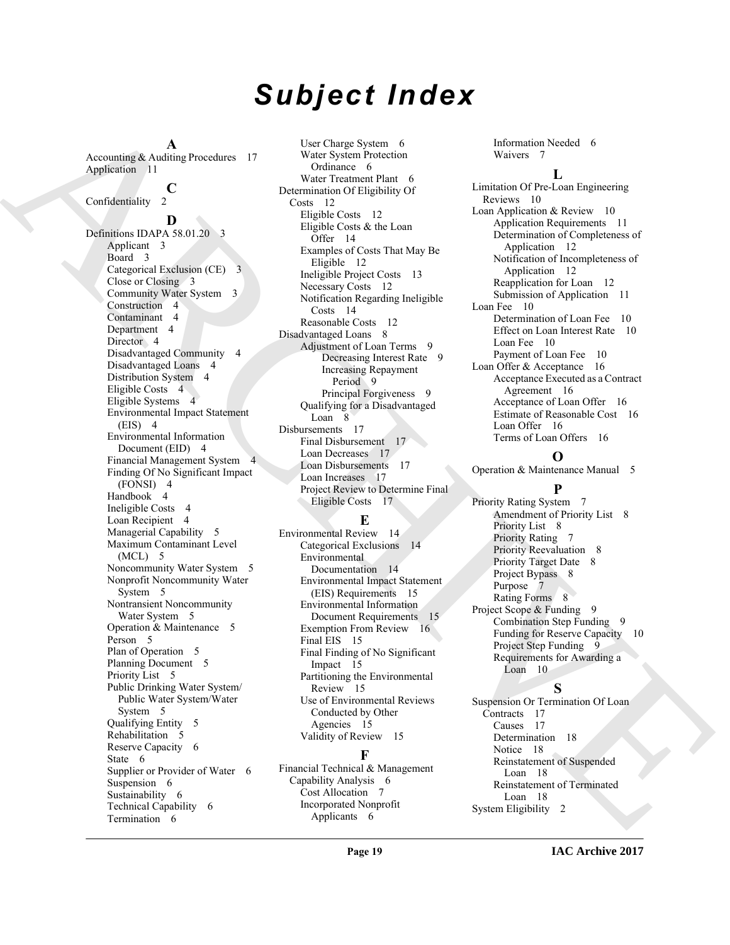# *Subject Index*

**A** Accounting & Auditing Procedures 17 Application 11

#### **C**

Confidentiality

#### **D**

[A](#page-16-5)ccording A and procedure is the three control in the control of the state of the state of the state of the state of the state of the state of the state of the state of the state of the state of the state of the state of Definitions IDAPA 58.01.20 3 Applicant 3 Board 3 Categorical Exclusion (CE) 3 Close or Closing 3 Community Water System 3 Construction 4 Contaminant 4 Department 4 Director 4 Disadvantaged Community 4 Disadvantaged Loans 4 Distribution System 4 Eligible Costs 4 Eligible Systems 4 Environmental Impact Statement  $(EIS)$  4 Environmental Information Document (EID) 4 Financial Management System 4 Finding Of No Significant Impact (FONSI) 4 Handbook 4 Ineligible Costs 4 Loan Recipient 4 Managerial Capability 5 Maximum Contaminant Level  $(MCL)$  5 Noncommunity Water System 5 Nonprofit Noncommunity Water System 5 Nontransient Noncommunity Water System 5 Operation & Maintenance 5 Person<sub>5</sub> Plan of Operation 5 Planning Document 5 Priority List 5 Public Drinking Water System/ Public Water System/Water System 5 Qualifying Entity 5 Rehabilitation 5 Reserve Capacity 6 State 6 Supplier or Provider of Water 6 Suspension 6 Sustainability 6 Technical Capability 6 Termination 6

User Charge System 6 Water System Protection Ordinance 6 Water Treatment Plant 6 Determination Of Eligibility Of Costs 12 Eligible Costs 12 Eligible Costs & the Loan Offer 14 Examples of Costs That May Be Eligible 12 Ineligible Project Costs 13 Necessary Costs 12 Notification Regarding Ineligible Costs 14 Reasonable Costs 12 Disadvantaged Loans 8 Adjustment of Loan Terms 9 Decreasing Interest Rate 9 Increasing Repayment Period 9 Principal Forgiveness 9 Qualifying for a Disadvantaged Loan 8 Disbursements 17 Final Disbursement 17 Loan Decreases 17 Loan Disbursements 17 Loan Increases 17 Project Review to Determine Final Eligible Costs 17

### **E**

Environmental Review 14 Categorical Exclusions 14 Environmental Documentation 14 Environmental Impact Statement (EIS) Requirements 15 Environmental Information Document Requirements 15 Exemption From Review 16 Final EIS 15 Final Finding of No Significant Impact 15 Partitioning the Environmental Review 15 Use of Environmental Reviews Conducted by Other Agencies 15 Validity of Review 15

### **F**

Financial Technical & Management Capability Analysis 6 Cost Allocation 7 Incorporated Nonprofit Applicants 6

Information Needed 6 Waivers 7

#### **L**

Limitation Of Pre-Loan Engineering Reviews 10 Loan Application & Review 10 Application Requirements 11 Determination of Completeness of Application 12 Notification of Incompleteness of Application 12 Reapplication for Loan 12 Submission of Application 11 Loan Fee 10 Determination of Loan Fee 10 Effect on Loan Interest Rate 10 Loan Fee 10 Payment of Loan Fee 10 Loan Offer & Acceptance 16 Acceptance Executed as a Contract Agreement 16 Acceptance of Loan Offer 16 Estimate of Reasonable Cost 16 Loan Offer 16 Terms of Loan Offers 16

#### **O**

Operation & Maintenance Manual 5 **P**

Priority Rating System 7 Amendment of Priority List 8 Priority List 8 Priority Rating 7 Priority Reevaluation 8 Priority Target Date 8 Project Bypass 8 Purpose 7 Rating Forms 8 Project Scope & Funding 9 Combination Step Funding 9 Funding for Reserve Capacity 10 Project Step Funding 9 Requirements for Awarding a Loan 10

#### **S**

Suspension Or Termination Of Loan Contracts 17 Causes 17 Determination 18 Notice 18 Reinstatement of Suspended Loan 18 Reinstatement of Terminated Loan 18 System Eligibility 2